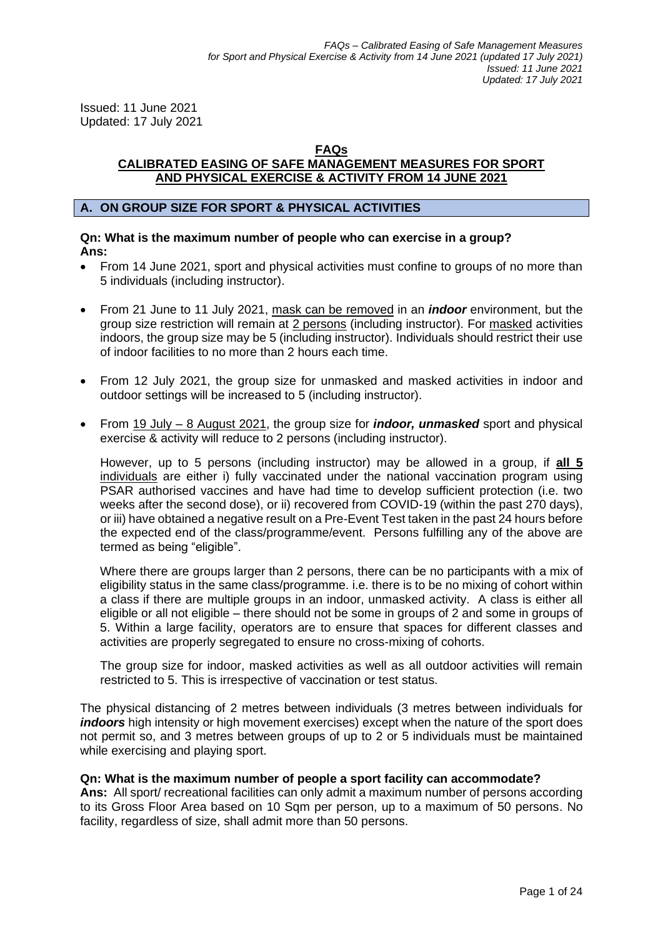Issued: 11 June 2021 Updated: 17 July 2021

### **FAQs**

# **CALIBRATED EASING OF SAFE MANAGEMENT MEASURES FOR SPORT AND PHYSICAL EXERCISE & ACTIVITY FROM 14 JUNE 2021**

## **A. ON GROUP SIZE FOR SPORT & PHYSICAL ACTIVITIES**

### **Qn: What is the maximum number of people who can exercise in a group? Ans:**

- From 14 June 2021, sport and physical activities must confine to groups of no more than 5 individuals (including instructor).
- From 21 June to 11 July 2021, mask can be removed in an *indoor* environment, but the group size restriction will remain at 2 persons (including instructor). For masked activities indoors, the group size may be 5 (including instructor). Individuals should restrict their use of indoor facilities to no more than 2 hours each time.
- From 12 July 2021, the group size for unmasked and masked activities in indoor and outdoor settings will be increased to 5 (including instructor).
- From 19 July 8 August 2021, the group size for *indoor, unmasked* sport and physical exercise & activity will reduce to 2 persons (including instructor).

However, up to 5 persons (including instructor) may be allowed in a group, if **all 5**  individuals are either i) fully vaccinated under the national vaccination program using PSAR authorised vaccines and have had time to develop sufficient protection (i.e. two weeks after the second dose), or ii) recovered from COVID-19 (within the past 270 days), or iii) have obtained a negative result on a Pre-Event Test taken in the past 24 hours before the expected end of the class/programme/event. Persons fulfilling any of the above are termed as being "eligible".

Where there are groups larger than 2 persons, there can be no participants with a mix of eligibility status in the same class/programme. i.e. there is to be no mixing of cohort within a class if there are multiple groups in an indoor, unmasked activity. A class is either all eligible or all not eligible – there should not be some in groups of 2 and some in groups of 5. Within a large facility, operators are to ensure that spaces for different classes and activities are properly segregated to ensure no cross-mixing of cohorts.

The group size for indoor, masked activities as well as all outdoor activities will remain restricted to 5. This is irrespective of vaccination or test status.

The physical distancing of 2 metres between individuals (3 metres between individuals for *indoors* high intensity or high movement exercises) except when the nature of the sport does not permit so, and 3 metres between groups of up to 2 or 5 individuals must be maintained while exercising and playing sport.

### **Qn: What is the maximum number of people a sport facility can accommodate?**

**Ans:** All sport/ recreational facilities can only admit a maximum number of persons according to its Gross Floor Area based on 10 Sqm per person, up to a maximum of 50 persons. No facility, regardless of size, shall admit more than 50 persons.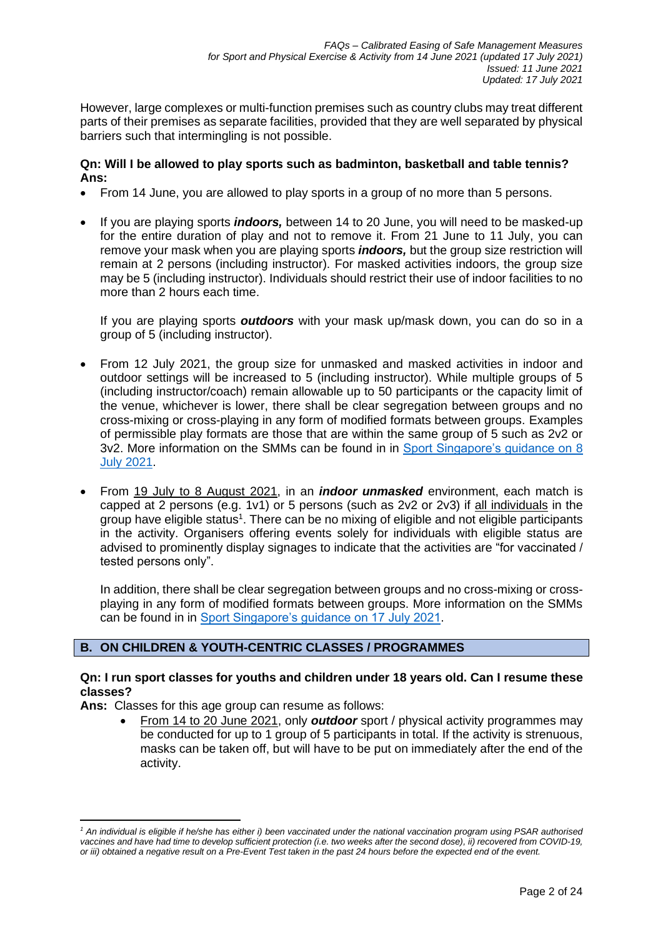However, large complexes or multi-function premises such as country clubs may treat different parts of their premises as separate facilities, provided that they are well separated by physical barriers such that intermingling is not possible.

### **Qn: Will I be allowed to play sports such as badminton, basketball and table tennis? Ans:**

- From 14 June, you are allowed to play sports in a group of no more than 5 persons.
- If you are playing sports *indoors,* between 14 to 20 June, you will need to be masked-up for the entire duration of play and not to remove it. From 21 June to 11 July, you can remove your mask when you are playing sports *indoors,* but the group size restriction will remain at 2 persons (including instructor). For masked activities indoors, the group size may be 5 (including instructor). Individuals should restrict their use of indoor facilities to no more than 2 hours each time.

If you are playing sports *outdoors* with your mask up/mask down, you can do so in a group of 5 (including instructor).

- From 12 July 2021, the group size for unmasked and masked activities in indoor and outdoor settings will be increased to 5 (including instructor). While multiple groups of 5 (including instructor/coach) remain allowable up to 50 participants or the capacity limit of the venue, whichever is lower, there shall be clear segregation between groups and no cross-mixing or cross-playing in any form of modified formats between groups. Examples of permissible play formats are those that are within the same group of 5 such as 2v2 or 3v2. More information on the SMMs can be found in in [Sport Singapore's guidance on 8](https://www.sportsingapore.gov.sg/Newsroom/Media-Releases) [July 2021.](https://www.sportsingapore.gov.sg/Newsroom/Media-Releases)
- From 19 July to 8 August 2021, in an *indoor unmasked* environment, each match is capped at 2 persons (e.g. 1v1) or 5 persons (such as 2v2 or 2v3) if all individuals in the group have eligible status<sup>1</sup>. There can be no mixing of eligible and not eligible participants in the activity. Organisers offering events solely for individuals with eligible status are advised to prominently display signages to indicate that the activities are "for vaccinated / tested persons only".

In addition, there shall be clear segregation between groups and no cross-mixing or crossplaying in any form of modified formats between groups. More information on the SMMs can be found in in [Sport Singapore's guidance on 17 July 2021.](https://www.sportsingapore.gov.sg/Newsroom/Media-Releases)

# **B. ON CHILDREN & YOUTH-CENTRIC CLASSES / PROGRAMMES**

## **Qn: I run sport classes for youths and children under 18 years old. Can I resume these classes?**

**Ans:** Classes for this age group can resume as follows:

• From 14 to 20 June 2021, only *outdoor* sport / physical activity programmes may be conducted for up to 1 group of 5 participants in total. If the activity is strenuous, masks can be taken off, but will have to be put on immediately after the end of the activity.

*<sup>1</sup> An individual is eligible if he/she has either i) been vaccinated under the national vaccination program using PSAR authorised vaccines and have had time to develop sufficient protection (i.e. two weeks after the second dose), ii) recovered from COVID-19, or iii) obtained a negative result on a Pre-Event Test taken in the past 24 hours before the expected end of the event.*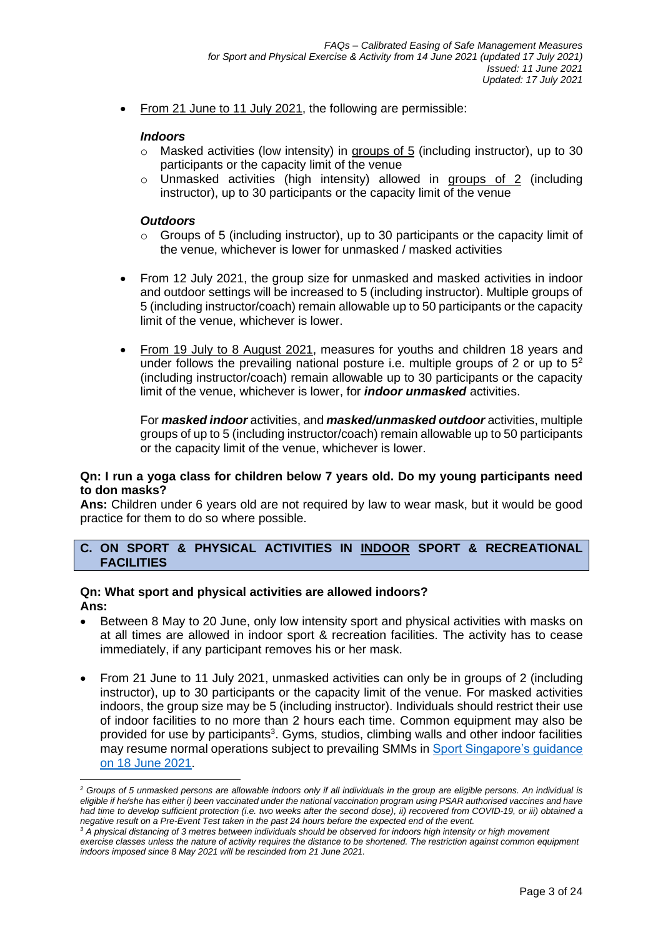• From 21 June to 11 July 2021, the following are permissible:

#### *Indoors*

- $\circ$  Masked activities (low intensity) in groups of 5 (including instructor), up to 30 participants or the capacity limit of the venue
- $\circ$  Unmasked activities (high intensity) allowed in groups of 2 (including instructor), up to 30 participants or the capacity limit of the venue

#### *Outdoors*

- $\circ$  Groups of 5 (including instructor), up to 30 participants or the capacity limit of the venue, whichever is lower for unmasked / masked activities
- From 12 July 2021, the group size for unmasked and masked activities in indoor and outdoor settings will be increased to 5 (including instructor). Multiple groups of 5 (including instructor/coach) remain allowable up to 50 participants or the capacity limit of the venue, whichever is lower.
- From 19 July to 8 August 2021, measures for youths and children 18 years and under follows the prevailing national posture i.e. multiple groups of 2 or up to  $5<sup>2</sup>$ (including instructor/coach) remain allowable up to 30 participants or the capacity limit of the venue, whichever is lower, for *indoor unmasked* activities.

For *masked indoor* activities, and *masked/unmasked outdoor* activities, multiple groups of up to 5 (including instructor/coach) remain allowable up to 50 participants or the capacity limit of the venue, whichever is lower.

### **Qn: I run a yoga class for children below 7 years old. Do my young participants need to don masks?**

**Ans:** Children under 6 years old are not required by law to wear mask, but it would be good practice for them to do so where possible.

### **C. ON SPORT & PHYSICAL ACTIVITIES IN INDOOR SPORT & RECREATIONAL FACILITIES**

### **Qn: What sport and physical activities are allowed indoors? Ans:**

- Between 8 May to 20 June, only low intensity sport and physical activities with masks on at all times are allowed in indoor sport & recreation facilities. The activity has to cease immediately, if any participant removes his or her mask.
- From 21 June to 11 July 2021, unmasked activities can only be in groups of 2 (including instructor), up to 30 participants or the capacity limit of the venue. For masked activities indoors, the group size may be 5 (including instructor). Individuals should restrict their use of indoor facilities to no more than 2 hours each time. Common equipment may also be provided for use by participants<sup>3</sup>. Gyms, studios, climbing walls and other indoor facilities may resume normal operations subject to prevailing SMMs in [Sport Singapore's guidance](https://www.sportsingapore.gov.sg/Newsroom/Media-Releases)  on 18 [June 2021.](https://www.sportsingapore.gov.sg/Newsroom/Media-Releases)

*<sup>2</sup> Groups of 5 unmasked persons are allowable indoors only if all individuals in the group are eligible persons. An individual is eligible if he/she has either i) been vaccinated under the national vaccination program using PSAR authorised vaccines and have had time to develop sufficient protection (i.e. two weeks after the second dose), ii) recovered from COVID-19, or iii) obtained a negative result on a Pre-Event Test taken in the past 24 hours before the expected end of the event.* 

*<sup>3</sup> A physical distancing of 3 metres between individuals should be observed for indoors high intensity or high movement exercise classes unless the nature of activity requires the distance to be shortened. The restriction against common equipment indoors imposed since 8 May 2021 will be rescinded from 21 June 2021.*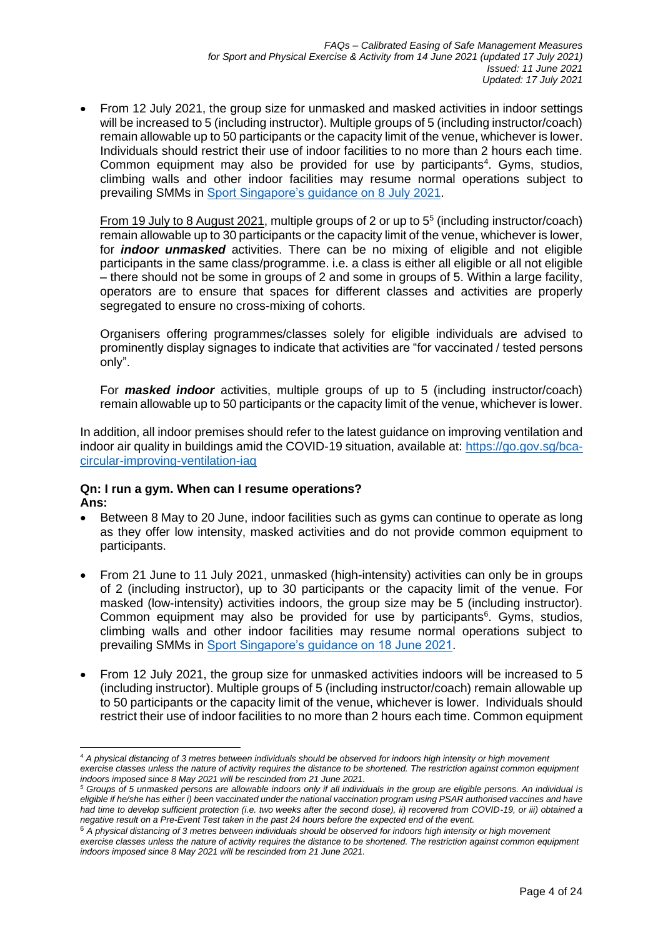• From 12 July 2021, the group size for unmasked and masked activities in indoor settings will be increased to 5 (including instructor). Multiple groups of 5 (including instructor/coach) remain allowable up to 50 participants or the capacity limit of the venue, whichever is lower. Individuals should restrict their use of indoor facilities to no more than 2 hours each time. Common equipment may also be provided for use by participants<sup>4</sup>. Gyms, studios, climbing walls and other indoor facilities may resume normal operations subject to prevailing SMMs in [Sport Singapore's guidance on 8](https://www.sportsingapore.gov.sg/Newsroom/Media-Releases) July 2021.

From 19 July to 8 August 2021, multiple groups of 2 or up to 5<sup>5</sup> (including instructor/coach) remain allowable up to 30 participants or the capacity limit of the venue, whichever is lower, for *indoor unmasked* activities. There can be no mixing of eligible and not eligible participants in the same class/programme. i.e. a class is either all eligible or all not eligible – there should not be some in groups of 2 and some in groups of 5. Within a large facility, operators are to ensure that spaces for different classes and activities are properly segregated to ensure no cross-mixing of cohorts.

Organisers offering programmes/classes solely for eligible individuals are advised to prominently display signages to indicate that activities are "for vaccinated / tested persons only".

For *masked indoor* activities, multiple groups of up to 5 (including instructor/coach) remain allowable up to 50 participants or the capacity limit of the venue, whichever is lower.

In addition, all indoor premises should refer to the latest guidance on improving ventilation and indoor air quality in buildings amid the COVID-19 situation, available at: [https://go.gov.sg/bca](https://go.gov.sg/bca-circular-improving-ventilation-iaq)[circular-improving-ventilation-iaq](https://go.gov.sg/bca-circular-improving-ventilation-iaq)

#### **Qn: I run a gym. When can I resume operations? Ans:**

- Between 8 May to 20 June, indoor facilities such as gyms can continue to operate as long as they offer low intensity, masked activities and do not provide common equipment to participants.
- From 21 June to 11 July 2021, unmasked (high-intensity) activities can only be in groups of 2 (including instructor), up to 30 participants or the capacity limit of the venue. For masked (low-intensity) activities indoors, the group size may be 5 (including instructor). Common equipment may also be provided for use by participants<sup>6</sup>. Gyms, studios, climbing walls and other indoor facilities may resume normal operations subject to prevailing SMMs in [Sport Singapore's guidance on 18 June 2021.](https://www.sportsingapore.gov.sg/Newsroom/Media-Releases)
- From 12 July 2021, the group size for unmasked activities indoors will be increased to 5 (including instructor). Multiple groups of 5 (including instructor/coach) remain allowable up to 50 participants or the capacity limit of the venue, whichever is lower. Individuals should restrict their use of indoor facilities to no more than 2 hours each time. Common equipment

*<sup>4</sup> A physical distancing of 3 metres between individuals should be observed for indoors high intensity or high movement exercise classes unless the nature of activity requires the distance to be shortened. The restriction against common equipment indoors imposed since 8 May 2021 will be rescinded from 21 June 2021.*

*<sup>5</sup> Groups of 5 unmasked persons are allowable indoors only if all individuals in the group are eligible persons. An individual is eligible if he/she has either i) been vaccinated under the national vaccination program using PSAR authorised vaccines and have had time to develop sufficient protection (i.e. two weeks after the second dose), ii) recovered from COVID-19, or iii) obtained a negative result on a Pre-Event Test taken in the past 24 hours before the expected end of the event.* 

<sup>6</sup> *A physical distancing of 3 metres between individuals should be observed for indoors high intensity or high movement exercise classes unless the nature of activity requires the distance to be shortened. The restriction against common equipment indoors imposed since 8 May 2021 will be rescinded from 21 June 2021.*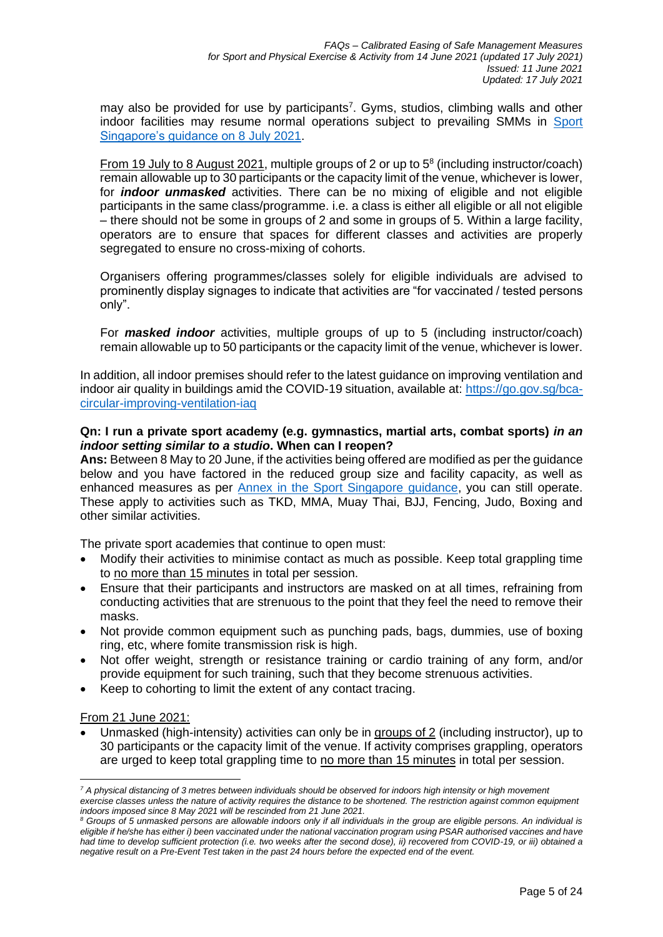may also be provided for use by participants<sup>7</sup>. Gyms, studios, climbing walls and other indoor facilities may resume normal operations subject to prevailing SMMs in [Sport](https://www.sportsingapore.gov.sg/Newsroom/Media-Releases)  [Singapore's guidance on 8 July 2021.](https://www.sportsingapore.gov.sg/Newsroom/Media-Releases)

From 19 July to 8 August 2021, multiple groups of 2 or up to 5<sup>8</sup> (including instructor/coach) remain allowable up to 30 participants or the capacity limit of the venue, whichever is lower, for *indoor unmasked* activities. There can be no mixing of eligible and not eligible participants in the same class/programme. i.e. a class is either all eligible or all not eligible – there should not be some in groups of 2 and some in groups of 5. Within a large facility, operators are to ensure that spaces for different classes and activities are properly segregated to ensure no cross-mixing of cohorts.

Organisers offering programmes/classes solely for eligible individuals are advised to prominently display signages to indicate that activities are "for vaccinated / tested persons only".

For *masked indoor* activities, multiple groups of up to 5 (including instructor/coach) remain allowable up to 50 participants or the capacity limit of the venue, whichever is lower.

In addition, all indoor premises should refer to the latest guidance on improving ventilation and indoor air quality in buildings amid the COVID-19 situation, available at: [https://go.gov.sg/bca](https://go.gov.sg/bca-circular-improving-ventilation-iaq)[circular-improving-ventilation-iaq](https://go.gov.sg/bca-circular-improving-ventilation-iaq)

### **Qn: I run a private sport academy (e.g. gymnastics, martial arts, combat sports)** *in an indoor setting similar to a studio***. When can I reopen?**

**Ans:** Between 8 May to 20 June, if the activities being offered are modified as per the guidance below and you have factored in the reduced group size and facility capacity, as well as enhanced measures as per **Annex in the Sport Singapore guidance**, you can still operate. These apply to activities such as TKD, MMA, Muay Thai, BJJ, Fencing, Judo, Boxing and other similar activities.

The private sport academies that continue to open must:

- Modify their activities to minimise contact as much as possible. Keep total grappling time to no more than 15 minutes in total per session.
- Ensure that their participants and instructors are masked on at all times, refraining from conducting activities that are strenuous to the point that they feel the need to remove their masks.
- Not provide common equipment such as punching pads, bags, dummies, use of boxing ring, etc, where fomite transmission risk is high.
- Not offer weight, strength or resistance training or cardio training of any form, and/or provide equipment for such training, such that they become strenuous activities.
- Keep to cohorting to limit the extent of any contact tracing.

From 21 June 2021:

Unmasked (high-intensity) activities can only be in groups of 2 (including instructor), up to 30 participants or the capacity limit of the venue. If activity comprises grappling, operators are urged to keep total grappling time to no more than 15 minutes in total per session.

*<sup>7</sup> A physical distancing of 3 metres between individuals should be observed for indoors high intensity or high movement exercise classes unless the nature of activity requires the distance to be shortened. The restriction against common equipment indoors imposed since 8 May 2021 will be rescinded from 21 June 2021.*

*<sup>8</sup> Groups of 5 unmasked persons are allowable indoors only if all individuals in the group are eligible persons. An individual is eligible if he/she has either i) been vaccinated under the national vaccination program using PSAR authorised vaccines and have had time to develop sufficient protection (i.e. two weeks after the second dose), ii) recovered from COVID-19, or iii) obtained a negative result on a Pre-Event Test taken in the past 24 hours before the expected end of the event.*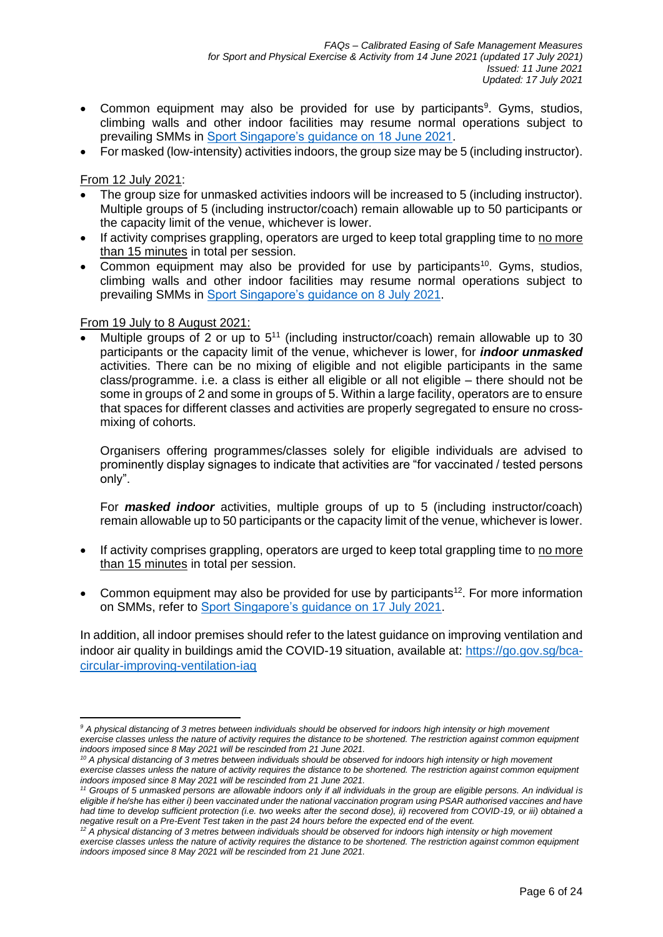- Common equipment may also be provided for use by participants<sup>9</sup>. Gyms, studios, climbing walls and other indoor facilities may resume normal operations subject to prevailing SMMs in [Sport Singapore's guidance on 18 June 2021.](https://www.sportsingapore.gov.sg/Newsroom/Media-Releases)
- For masked (low-intensity) activities indoors, the group size may be 5 (including instructor).

From 12 July 2021:

- The group size for unmasked activities indoors will be increased to 5 (including instructor). Multiple groups of 5 (including instructor/coach) remain allowable up to 50 participants or the capacity limit of the venue, whichever is lower.
- If activity comprises grappling, operators are urged to keep total grappling time to no more than 15 minutes in total per session.
- Common equipment may also be provided for use by participants<sup>10</sup>. Gyms, studios, climbing walls and other indoor facilities may resume normal operations subject to prevailing SMMs in [Sport Singapore's guidance on 8 July 2021.](https://www.sportsingapore.gov.sg/Newsroom/Media-Releases)

#### From 19 July to 8 August 2021:

Multiple groups of 2 or up to 5<sup>11</sup> (including instructor/coach) remain allowable up to 30 participants or the capacity limit of the venue, whichever is lower, for *indoor unmasked* activities. There can be no mixing of eligible and not eligible participants in the same class/programme. i.e. a class is either all eligible or all not eligible – there should not be some in groups of 2 and some in groups of 5. Within a large facility, operators are to ensure that spaces for different classes and activities are properly segregated to ensure no crossmixing of cohorts.

Organisers offering programmes/classes solely for eligible individuals are advised to prominently display signages to indicate that activities are "for vaccinated / tested persons only".

For *masked indoor* activities, multiple groups of up to 5 (including instructor/coach) remain allowable up to 50 participants or the capacity limit of the venue, whichever is lower.

- If activity comprises grappling, operators are urged to keep total grappling time to no more than 15 minutes in total per session.
- Common equipment may also be provided for use by participants<sup>12</sup>. For more information on SMMs, refer to [Sport Singapore's guidance on 17](https://www.sportsingapore.gov.sg/Newsroom/Media-Releases) July 2021.

In addition, all indoor premises should refer to the latest guidance on improving ventilation and indoor air quality in buildings amid the COVID-19 situation, available at: [https://go.gov.sg/bca](https://go.gov.sg/bca-circular-improving-ventilation-iaq)[circular-improving-ventilation-iaq](https://go.gov.sg/bca-circular-improving-ventilation-iaq)

*<sup>9</sup> A physical distancing of 3 metres between individuals should be observed for indoors high intensity or high movement exercise classes unless the nature of activity requires the distance to be shortened. The restriction against common equipment indoors imposed since 8 May 2021 will be rescinded from 21 June 2021.*

*<sup>10</sup> A physical distancing of 3 metres between individuals should be observed for indoors high intensity or high movement exercise classes unless the nature of activity requires the distance to be shortened. The restriction against common equipment indoors imposed since 8 May 2021 will be rescinded from 21 June 2021.*

*<sup>11</sup> Groups of 5 unmasked persons are allowable indoors only if all individuals in the group are eligible persons. An individual is eligible if he/she has either i) been vaccinated under the national vaccination program using PSAR authorised vaccines and have had time to develop sufficient protection (i.e. two weeks after the second dose), ii) recovered from COVID-19, or iii) obtained a negative result on a Pre-Event Test taken in the past 24 hours before the expected end of the event.* 

*<sup>12</sup> A physical distancing of 3 metres between individuals should be observed for indoors high intensity or high movement exercise classes unless the nature of activity requires the distance to be shortened. The restriction against common equipment indoors imposed since 8 May 2021 will be rescinded from 21 June 2021.*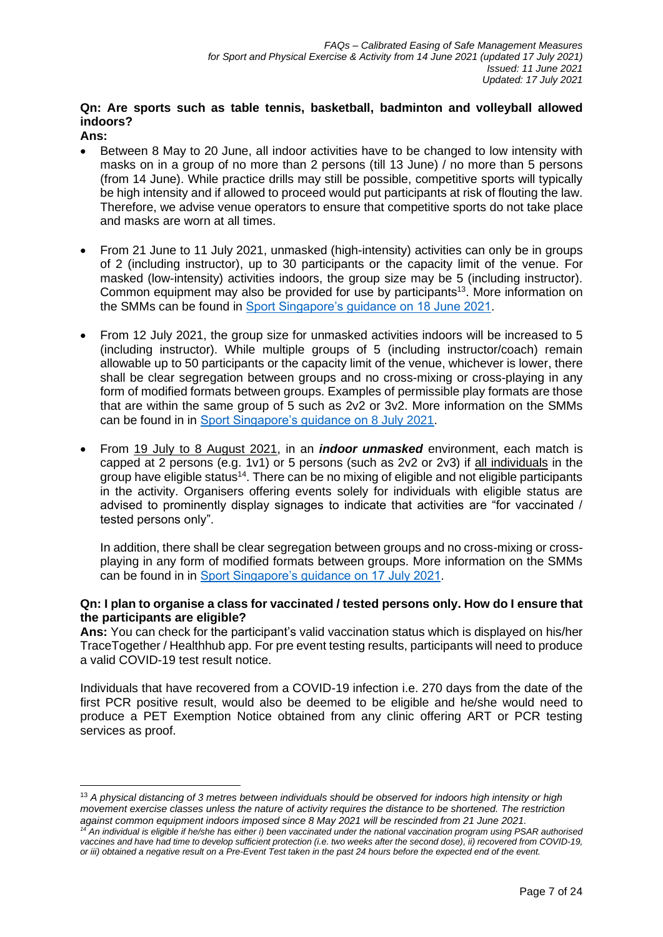# **Qn: Are sports such as table tennis, basketball, badminton and volleyball allowed indoors?**

## **Ans:**

- Between 8 May to 20 June, all indoor activities have to be changed to low intensity with masks on in a group of no more than 2 persons (till 13 June) / no more than 5 persons (from 14 June). While practice drills may still be possible, competitive sports will typically be high intensity and if allowed to proceed would put participants at risk of flouting the law. Therefore, we advise venue operators to ensure that competitive sports do not take place and masks are worn at all times.
- From 21 June to 11 July 2021, unmasked (high-intensity) activities can only be in groups of 2 (including instructor), up to 30 participants or the capacity limit of the venue. For masked (low-intensity) activities indoors, the group size may be 5 (including instructor). Common equipment may also be provided for use by participants<sup>13</sup>. More information on the SMMs can be found in [Sport Singapore's guidance on 18 June 2021.](https://www.sportsingapore.gov.sg/Newsroom/Media-Releases)
- From 12 July 2021, the group size for unmasked activities indoors will be increased to 5 (including instructor). While multiple groups of 5 (including instructor/coach) remain allowable up to 50 participants or the capacity limit of the venue, whichever is lower, there shall be clear segregation between groups and no cross-mixing or cross-playing in any form of modified formats between groups. Examples of permissible play formats are those that are within the same group of 5 such as 2v2 or 3v2. More information on the SMMs can be found in in [Sport Singapore's guidance on 8](https://www.sportsingapore.gov.sg/Newsroom/Media-Releases) July 2021.
- From 19 July to 8 August 2021, in an *indoor unmasked* environment, each match is capped at 2 persons (e.g. 1v1) or 5 persons (such as 2v2 or 2v3) if all individuals in the group have eligible status<sup>14</sup>. There can be no mixing of eligible and not eligible participants in the activity. Organisers offering events solely for individuals with eligible status are advised to prominently display signages to indicate that activities are "for vaccinated / tested persons only".

In addition, there shall be clear segregation between groups and no cross-mixing or crossplaying in any form of modified formats between groups. More information on the SMMs can be found in in [Sport Singapore's guidance on 17 July 2021.](https://www.sportsingapore.gov.sg/Newsroom/Media-Releases)

### **Qn: I plan to organise a class for vaccinated / tested persons only. How do I ensure that the participants are eligible?**

**Ans:** You can check for the participant's valid vaccination status which is displayed on his/her TraceTogether / Healthhub app. For pre event testing results, participants will need to produce a valid COVID-19 test result notice.

Individuals that have recovered from a COVID-19 infection i.e. 270 days from the date of the first PCR positive result, would also be deemed to be eligible and he/she would need to produce a PET Exemption Notice obtained from any clinic offering ART or PCR testing services as proof.

<sup>13</sup> *A physical distancing of 3 metres between individuals should be observed for indoors high intensity or high movement exercise classes unless the nature of activity requires the distance to be shortened. The restriction against common equipment indoors imposed since 8 May 2021 will be rescinded from 21 June 2021.*

*<sup>14</sup> An individual is eligible if he/she has either i) been vaccinated under the national vaccination program using PSAR authorised vaccines and have had time to develop sufficient protection (i.e. two weeks after the second dose), ii) recovered from COVID-19, or iii) obtained a negative result on a Pre-Event Test taken in the past 24 hours before the expected end of the event.*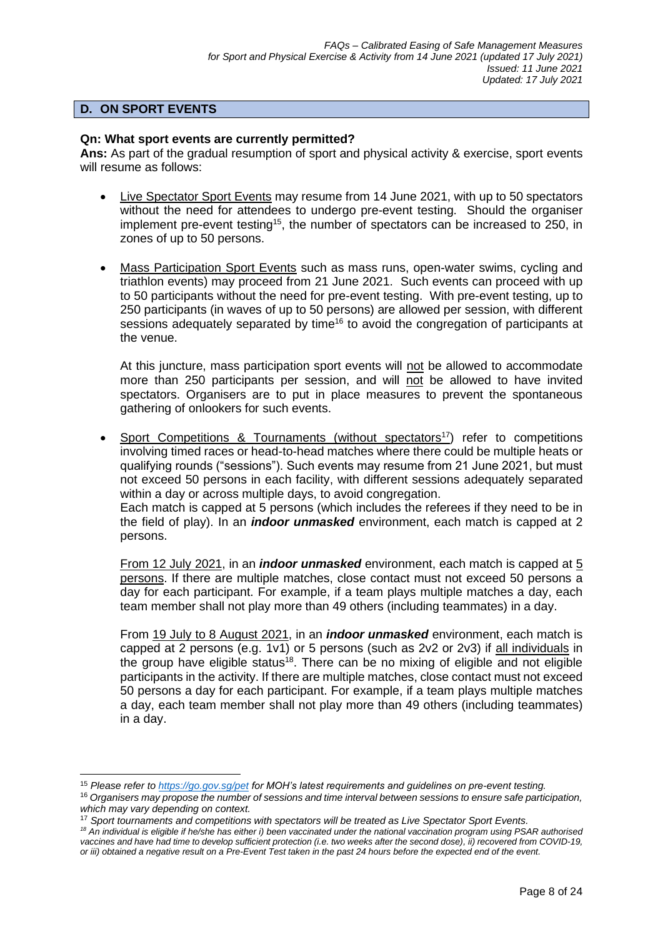### **D. ON SPORT EVENTS**

### **Qn: What sport events are currently permitted?**

**Ans:** As part of the gradual resumption of sport and physical activity & exercise, sport events will resume as follows:

- Live Spectator Sport Events may resume from 14 June 2021, with up to 50 spectators without the need for attendees to undergo pre-event testing. Should the organiser implement pre-event testing<sup>15</sup>, the number of spectators can be increased to 250, in zones of up to 50 persons.
- Mass Participation Sport Events such as mass runs, open-water swims, cycling and triathlon events) may proceed from 21 June 2021. Such events can proceed with up to 50 participants without the need for pre-event testing. With pre-event testing, up to 250 participants (in waves of up to 50 persons) are allowed per session, with different sessions adequately separated by time<sup>16</sup> to avoid the congregation of participants at the venue.

At this juncture, mass participation sport events will not be allowed to accommodate more than 250 participants per session, and will not be allowed to have invited spectators. Organisers are to put in place measures to prevent the spontaneous gathering of onlookers for such events.

Sport Competitions & Tournaments (without spectators<sup>17</sup>) refer to competitions involving timed races or head-to-head matches where there could be multiple heats or qualifying rounds ("sessions"). Such events may resume from 21 June 2021, but must not exceed 50 persons in each facility, with different sessions adequately separated within a day or across multiple days, to avoid congregation.

Each match is capped at 5 persons (which includes the referees if they need to be in the field of play). In an *indoor unmasked* environment, each match is capped at 2 persons.

From 12 July 2021, in an *indoor unmasked* environment, each match is capped at 5 persons. If there are multiple matches, close contact must not exceed 50 persons a day for each participant. For example, if a team plays multiple matches a day, each team member shall not play more than 49 others (including teammates) in a day.

From 19 July to 8 August 2021, in an *indoor unmasked* environment, each match is capped at 2 persons (e.g. 1v1) or 5 persons (such as 2v2 or 2v3) if all individuals in the group have eligible status<sup>18</sup>. There can be no mixing of eligible and not eligible participants in the activity. If there are multiple matches, close contact must not exceed 50 persons a day for each participant. For example, if a team plays multiple matches a day, each team member shall not play more than 49 others (including teammates) in a day.

<sup>15</sup> *Please refer to<https://go.gov.sg/pet> for MOH's latest requirements and guidelines on pre-event testing.* 

<sup>16</sup> *Organisers may propose the number of sessions and time interval between sessions to ensure safe participation, which may vary depending on context.*

<sup>17</sup> *Sport tournaments and competitions with spectators will be treated as Live Spectator Sport Events.*

<sup>&</sup>lt;sup>18</sup> An individual is eligible if he/she has either i) been vaccinated under the national vaccination program using PSAR authorised *vaccines and have had time to develop sufficient protection (i.e. two weeks after the second dose), ii) recovered from COVID-19, or iii) obtained a negative result on a Pre-Event Test taken in the past 24 hours before the expected end of the event.*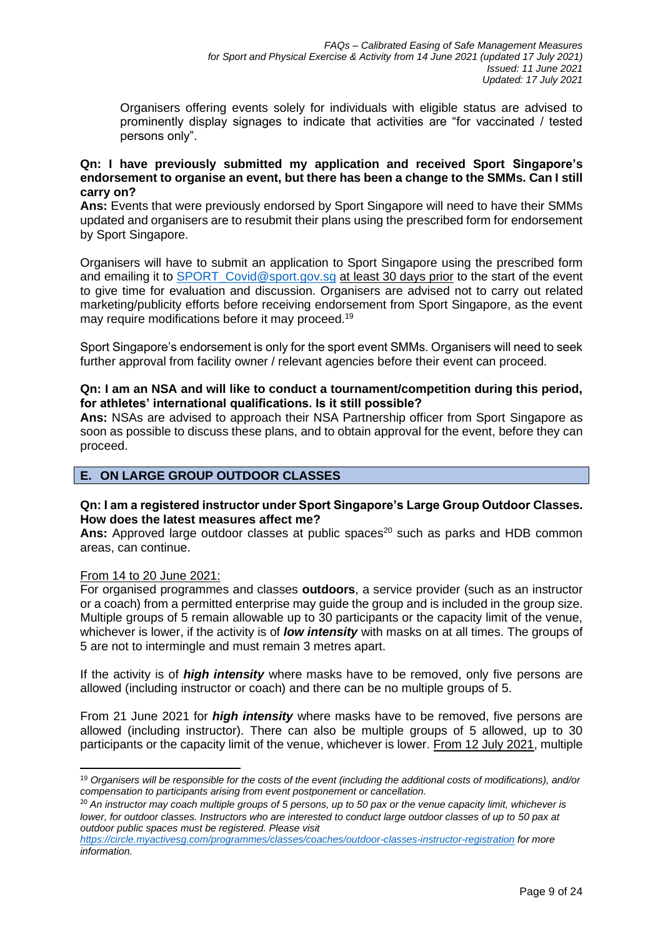Organisers offering events solely for individuals with eligible status are advised to prominently display signages to indicate that activities are "for vaccinated / tested persons only".

### **Qn: I have previously submitted my application and received Sport Singapore's endorsement to organise an event, but there has been a change to the SMMs. Can I still carry on?**

**Ans:** Events that were previously endorsed by Sport Singapore will need to have their SMMs updated and organisers are to resubmit their plans using the prescribed form for endorsement by Sport Singapore.

Organisers will have to submit an application to Sport Singapore using the prescribed form and emailing it to SPORT Covid@sport.gov.sg at least 30 days prior to the start of the event to give time for evaluation and discussion. Organisers are advised not to carry out related marketing/publicity efforts before receiving endorsement from Sport Singapore, as the event may require modifications before it may proceed.<sup>19</sup>

Sport Singapore's endorsement is only for the sport event SMMs. Organisers will need to seek further approval from facility owner / relevant agencies before their event can proceed.

### **Qn: I am an NSA and will like to conduct a tournament/competition during this period, for athletes' international qualifications. Is it still possible?**

**Ans:** NSAs are advised to approach their NSA Partnership officer from Sport Singapore as soon as possible to discuss these plans, and to obtain approval for the event, before they can proceed.

## **E. ON LARGE GROUP OUTDOOR CLASSES**

### **Qn: I am a registered instructor under Sport Singapore's Large Group Outdoor Classes. How does the latest measures affect me?**

Ans: Approved large outdoor classes at public spaces<sup>20</sup> such as parks and HDB common areas, can continue.

### From 14 to 20 June 2021:

For organised programmes and classes **outdoors**, a service provider (such as an instructor or a coach) from a permitted enterprise may guide the group and is included in the group size. Multiple groups of 5 remain allowable up to 30 participants or the capacity limit of the venue, whichever is lower, if the activity is of *low intensity* with masks on at all times. The groups of 5 are not to intermingle and must remain 3 metres apart.

If the activity is of *high intensity* where masks have to be removed, only five persons are allowed (including instructor or coach) and there can be no multiple groups of 5.

From 21 June 2021 for *high intensity* where masks have to be removed, five persons are allowed (including instructor). There can also be multiple groups of 5 allowed, up to 30 participants or the capacity limit of the venue, whichever is lower. From 12 July 2021, multiple

<sup>19</sup> *Organisers will be responsible for the costs of the event (including the additional costs of modifications), and/or compensation to participants arising from event postponement or cancellation.*

<sup>20</sup> *An instructor may coach multiple groups of 5 persons, up to 50 pax or the venue capacity limit, whichever is lower, for outdoor classes. Instructors who are interested to conduct large outdoor classes of up to 50 pax at outdoor public spaces must be registered. Please visit*

*<https://circle.myactivesg.com/programmes/classes/coaches/outdoor-classes-instructor-registration> for more information.*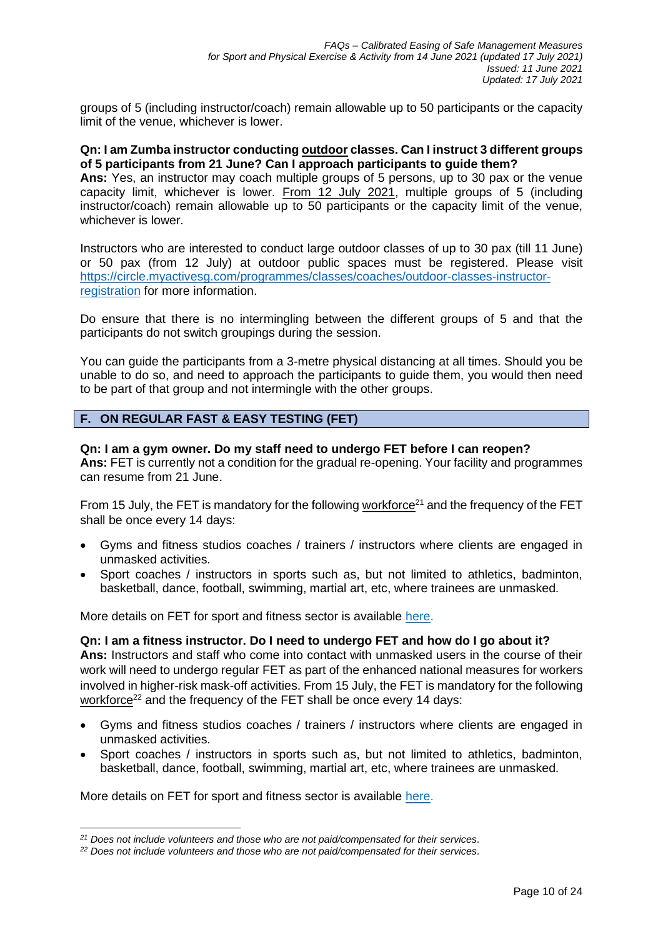groups of 5 (including instructor/coach) remain allowable up to 50 participants or the capacity limit of the venue, whichever is lower.

### **Qn: I am Zumba instructor conducting outdoor classes. Can I instruct 3 different groups of 5 participants from 21 June? Can I approach participants to guide them?**

**Ans:** Yes, an instructor may coach multiple groups of 5 persons, up to 30 pax or the venue capacity limit, whichever is lower. From 12 July 2021, multiple groups of 5 (including instructor/coach) remain allowable up to 50 participants or the capacity limit of the venue, whichever is lower.

Instructors who are interested to conduct large outdoor classes of up to 30 pax (till 11 June) or 50 pax (from 12 July) at outdoor public spaces must be registered. Please visit [https://circle.myactivesg.com/programmes/classes/coaches/outdoor-classes-instructor](https://circle.myactivesg.com/programmes/classes/coaches/outdoor-classes-instructor-registration)[registration](https://circle.myactivesg.com/programmes/classes/coaches/outdoor-classes-instructor-registration) for more information.

Do ensure that there is no intermingling between the different groups of 5 and that the participants do not switch groupings during the session.

You can guide the participants from a 3-metre physical distancing at all times. Should you be unable to do so, and need to approach the participants to guide them, you would then need to be part of that group and not intermingle with the other groups.

## **F. ON REGULAR FAST & EASY TESTING (FET)**

### **Qn: I am a gym owner. Do my staff need to undergo FET before I can reopen?**

**Ans:** FET is currently not a condition for the gradual re-opening. Your facility and programmes can resume from 21 June.

From 15 July, the FET is mandatory for the following workforce<sup>21</sup> and the frequency of the FET shall be once every 14 days:

- Gyms and fitness studios coaches / trainers / instructors where clients are engaged in unmasked activities.
- Sport coaches / instructors in sports such as, but not limited to athletics, badminton, basketball, dance, football, swimming, martial art, etc, where trainees are unmasked.

More details on FET for sport and fitness sector is available [here.](https://www.myactivesg.com/read/2021/7/a-safe-and-gradual-resumption-of-sport-and-fitness-activities-with-mandatory-fast-and-easy-testing)

### **Qn: I am a fitness instructor. Do I need to undergo FET and how do I go about it?**

**Ans:** Instructors and staff who come into contact with unmasked users in the course of their work will need to undergo regular FET as part of the enhanced national measures for workers involved in higher-risk mask-off activities. From 15 July, the FET is mandatory for the following workforce<sup>22</sup> and the frequency of the FET shall be once every 14 days:

- Gyms and fitness studios coaches / trainers / instructors where clients are engaged in unmasked activities.
- Sport coaches / instructors in sports such as, but not limited to athletics, badminton, basketball, dance, football, swimming, martial art, etc, where trainees are unmasked.

More details on FET for sport and fitness sector is available [here.](https://www.myactivesg.com/read/2021/7/a-safe-and-gradual-resumption-of-sport-and-fitness-activities-with-mandatory-fast-and-easy-testing)

*<sup>21</sup> Does not include volunteers and those who are not paid/compensated for their services.*

*<sup>22</sup> Does not include volunteers and those who are not paid/compensated for their services.*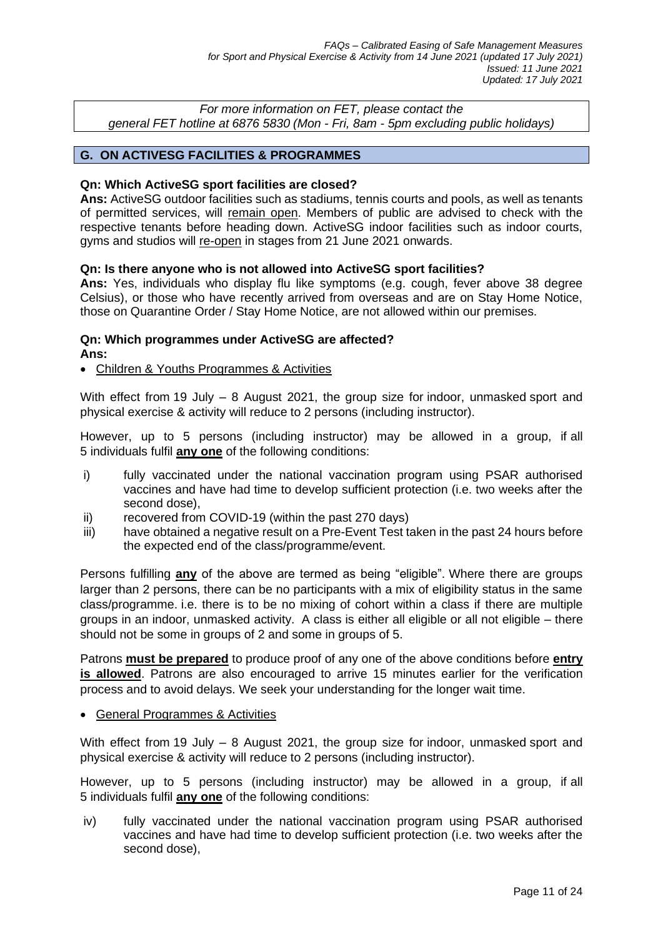*For more information on FET, please contact the general FET hotline at 6876 5830 (Mon - Fri, 8am - 5pm excluding public holidays)*

## **G. ON ACTIVESG FACILITIES & PROGRAMMES**

### **Qn: Which ActiveSG sport facilities are closed?**

**Ans:** ActiveSG outdoor facilities such as stadiums, tennis courts and pools, as well as tenants of permitted services, will remain open. Members of public are advised to check with the respective tenants before heading down. ActiveSG indoor facilities such as indoor courts, gyms and studios will re-open in stages from 21 June 2021 onwards.

### **Qn: Is there anyone who is not allowed into ActiveSG sport facilities?**

**Ans:** Yes, individuals who display flu like symptoms (e.g. cough, fever above 38 degree Celsius), or those who have recently arrived from overseas and are on Stay Home Notice, those on Quarantine Order / Stay Home Notice, are not allowed within our premises.

## **Qn: Which programmes under ActiveSG are affected? Ans:**

### • Children & Youths Programmes & Activities

With effect from 19 July – 8 August 2021, the group size for indoor, unmasked sport and physical exercise & activity will reduce to 2 persons (including instructor).

However, up to 5 persons (including instructor) may be allowed in a group, if all 5 individuals fulfil **any one** of the following conditions:

- i) fully vaccinated under the national vaccination program using PSAR authorised vaccines and have had time to develop sufficient protection (i.e. two weeks after the second dose),
- ii) recovered from COVID-19 (within the past 270 days)
- iii) have obtained a negative result on a Pre-Event Test taken in the past 24 hours before the expected end of the class/programme/event.

Persons fulfilling **any** of the above are termed as being "eligible". Where there are groups larger than 2 persons, there can be no participants with a mix of eligibility status in the same class/programme. i.e. there is to be no mixing of cohort within a class if there are multiple groups in an indoor, unmasked activity. A class is either all eligible or all not eligible – there should not be some in groups of 2 and some in groups of 5.

Patrons **must be prepared** to produce proof of any one of the above conditions before **entry is allowed**. Patrons are also encouraged to arrive 15 minutes earlier for the verification process and to avoid delays. We seek your understanding for the longer wait time.

## • General Programmes & Activities

With effect from 19 July - 8 August 2021, the group size for indoor, unmasked sport and physical exercise & activity will reduce to 2 persons (including instructor).

However, up to 5 persons (including instructor) may be allowed in a group, if all 5 individuals fulfil **any one** of the following conditions:

iv) fully vaccinated under the national vaccination program using PSAR authorised vaccines and have had time to develop sufficient protection (i.e. two weeks after the second dose),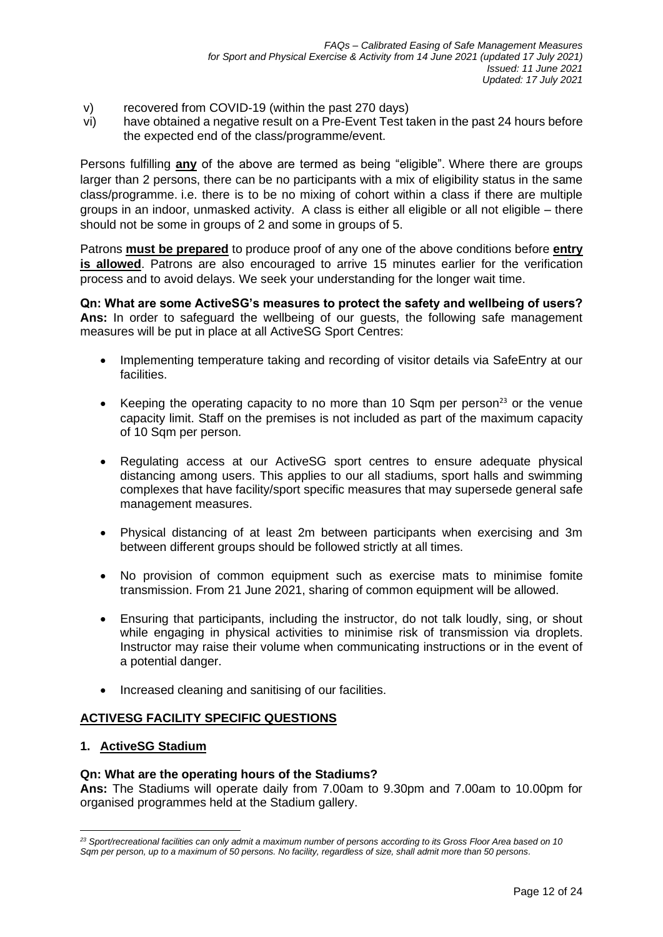- v) recovered from COVID-19 (within the past 270 days)
- vi) have obtained a negative result on a Pre-Event Test taken in the past 24 hours before the expected end of the class/programme/event.

Persons fulfilling **any** of the above are termed as being "eligible". Where there are groups larger than 2 persons, there can be no participants with a mix of eligibility status in the same class/programme. i.e. there is to be no mixing of cohort within a class if there are multiple groups in an indoor, unmasked activity. A class is either all eligible or all not eligible – there should not be some in groups of 2 and some in groups of 5.

Patrons **must be prepared** to produce proof of any one of the above conditions before **entry is allowed**. Patrons are also encouraged to arrive 15 minutes earlier for the verification process and to avoid delays. We seek your understanding for the longer wait time.

**Qn: What are some ActiveSG's measures to protect the safety and wellbeing of users? Ans:** In order to safeguard the wellbeing of our guests, the following safe management measures will be put in place at all ActiveSG Sport Centres:

- Implementing temperature taking and recording of visitor details via SafeEntry at our facilities.
- Keeping the operating capacity to no more than 10 Sqm per person<sup>23</sup> or the venue capacity limit. Staff on the premises is not included as part of the maximum capacity of 10 Sqm per person.
- Regulating access at our ActiveSG sport centres to ensure adequate physical distancing among users. This applies to our all stadiums, sport halls and swimming complexes that have facility/sport specific measures that may supersede general safe management measures.
- Physical distancing of at least 2m between participants when exercising and 3m between different groups should be followed strictly at all times.
- No provision of common equipment such as exercise mats to minimise fomite transmission. From 21 June 2021, sharing of common equipment will be allowed.
- Ensuring that participants, including the instructor, do not talk loudly, sing, or shout while engaging in physical activities to minimise risk of transmission via droplets. Instructor may raise their volume when communicating instructions or in the event of a potential danger.
- Increased cleaning and sanitising of our facilities.

## **ACTIVESG FACILITY SPECIFIC QUESTIONS**

### **1. ActiveSG Stadium**

### **Qn: What are the operating hours of the Stadiums?**

**Ans:** The Stadiums will operate daily from 7.00am to 9.30pm and 7.00am to 10.00pm for organised programmes held at the Stadium gallery.

*<sup>23</sup> Sport/recreational facilities can only admit a maximum number of persons according to its Gross Floor Area based on 10 Sqm per person, up to a maximum of 50 persons. No facility, regardless of size, shall admit more than 50 persons.*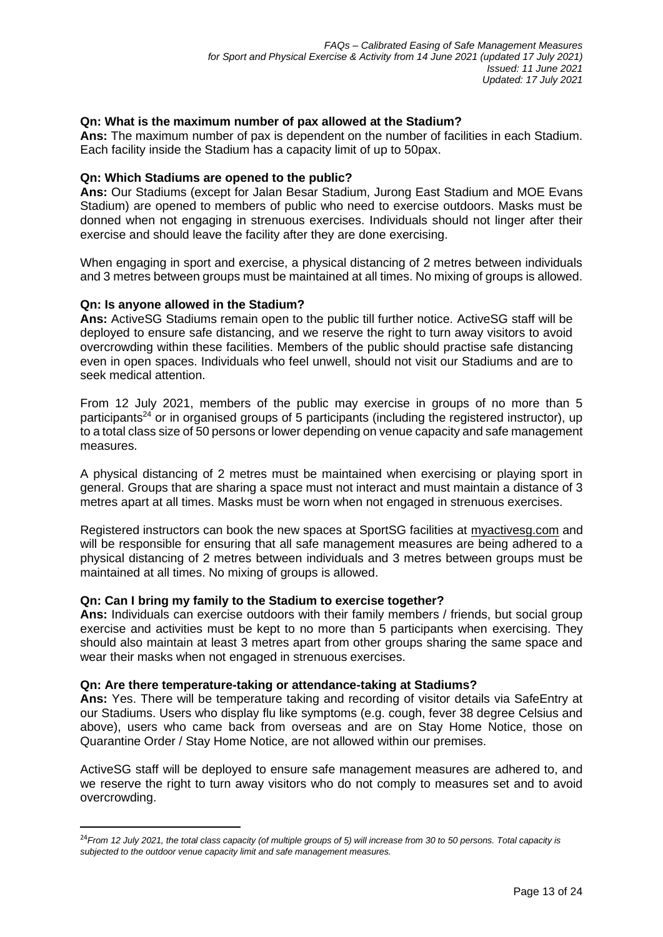## **Qn: What is the maximum number of pax allowed at the Stadium?**

**Ans:** The maximum number of pax is dependent on the number of facilities in each Stadium. Each facility inside the Stadium has a capacity limit of up to 50pax.

### **Qn: Which Stadiums are opened to the public?**

**Ans:** Our Stadiums (except for Jalan Besar Stadium, Jurong East Stadium and MOE Evans Stadium) are opened to members of public who need to exercise outdoors. Masks must be donned when not engaging in strenuous exercises. Individuals should not linger after their exercise and should leave the facility after they are done exercising.

When engaging in sport and exercise, a physical distancing of 2 metres between individuals and 3 metres between groups must be maintained at all times. No mixing of groups is allowed.

### **Qn: Is anyone allowed in the Stadium?**

**Ans:** ActiveSG Stadiums remain open to the public till further notice. ActiveSG staff will be deployed to ensure safe distancing, and we reserve the right to turn away visitors to avoid overcrowding within these facilities. Members of the public should practise safe distancing even in open spaces. Individuals who feel unwell, should not visit our Stadiums and are to seek medical attention.

From 12 July 2021, members of the public may exercise in groups of no more than 5 participants<sup>24</sup> or in organised groups of 5 participants (including the registered instructor), up to a total class size of 50 persons or lower depending on venue capacity and safe management measures.

A physical distancing of 2 metres must be maintained when exercising or playing sport in general. Groups that are sharing a space must not interact and must maintain a distance of 3 metres apart at all times. Masks must be worn when not engaged in strenuous exercises.

Registered instructors can book the new spaces at SportSG facilities at [myactivesg.com](https://www.myactivesg.com/) and will be responsible for ensuring that all safe management measures are being adhered to a physical distancing of 2 metres between individuals and 3 metres between groups must be maintained at all times. No mixing of groups is allowed.

### **Qn: Can I bring my family to the Stadium to exercise together?**

**Ans:** Individuals can exercise outdoors with their family members / friends, but social group exercise and activities must be kept to no more than 5 participants when exercising. They should also maintain at least 3 metres apart from other groups sharing the same space and wear their masks when not engaged in strenuous exercises.

### **Qn: Are there temperature-taking or attendance-taking at Stadiums?**

**Ans:** Yes. There will be temperature taking and recording of visitor details via SafeEntry at our Stadiums. Users who display flu like symptoms (e.g. cough, fever 38 degree Celsius and above), users who came back from overseas and are on Stay Home Notice, those on Quarantine Order / Stay Home Notice, are not allowed within our premises.

ActiveSG staff will be deployed to ensure safe management measures are adhered to, and we reserve the right to turn away visitors who do not comply to measures set and to avoid overcrowding.

<sup>24</sup>*From 12 July 2021, the total class capacity (of multiple groups of 5) will increase from 30 to 50 persons. Total capacity is subjected to the outdoor venue capacity limit and safe management measures.*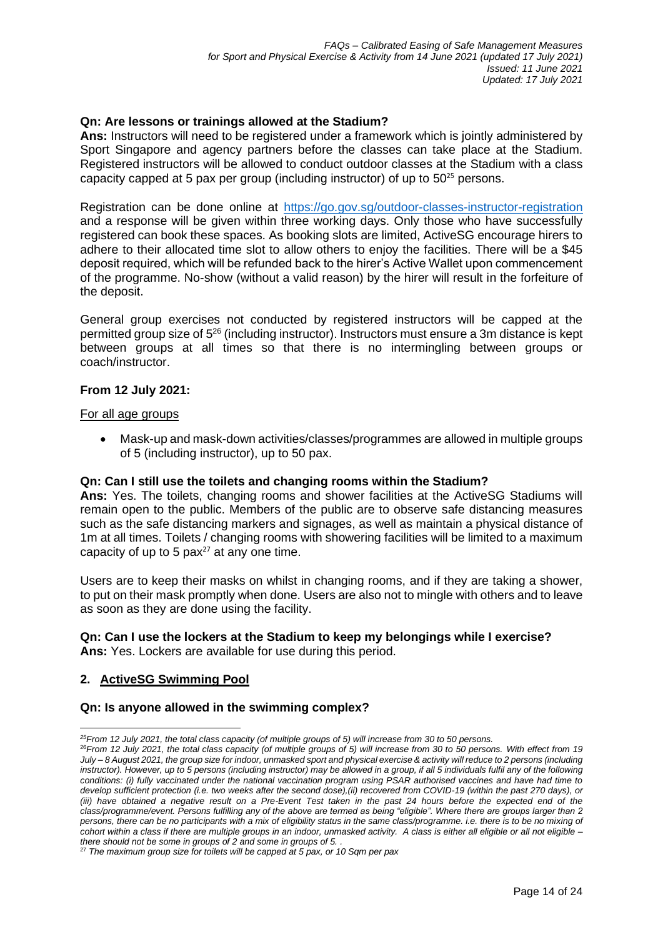### **Qn: Are lessons or trainings allowed at the Stadium?**

**Ans:** Instructors will need to be registered under a framework which is jointly administered by Sport Singapore and agency partners before the classes can take place at the Stadium. Registered instructors will be allowed to conduct outdoor classes at the Stadium with a class capacity capped at 5 pax per group (including instructor) of up to 50 <sup>25</sup> persons.

Registration can be done online at <https://go.gov.sg/outdoor-classes-instructor-registration> and a response will be given within three working days. Only those who have successfully registered can book these spaces. As booking slots are limited, ActiveSG encourage hirers to adhere to their allocated time slot to allow others to enjoy the facilities. There will be a \$45 deposit required, which will be refunded back to the hirer's Active Wallet upon commencement of the programme. No-show (without a valid reason) by the hirer will result in the forfeiture of the deposit.

General group exercises not conducted by registered instructors will be capped at the permitted group size of 5<sup>26</sup> (including instructor). Instructors must ensure a 3m distance is kept between groups at all times so that there is no intermingling between groups or coach/instructor.

### **From 12 July 2021:**

#### For all age groups

• Mask-up and mask-down activities/classes/programmes are allowed in multiple groups of 5 (including instructor), up to 50 pax.

### **Qn: Can I still use the toilets and changing rooms within the Stadium?**

**Ans:** Yes. The toilets, changing rooms and shower facilities at the ActiveSG Stadiums will remain open to the public. Members of the public are to observe safe distancing measures such as the safe distancing markers and signages, as well as maintain a physical distance of 1m at all times. Toilets / changing rooms with showering facilities will be limited to a maximum capacity of up to 5  $pax^{27}$  at any one time.

Users are to keep their masks on whilst in changing rooms, and if they are taking a shower, to put on their mask promptly when done. Users are also not to mingle with others and to leave as soon as they are done using the facility.

### **Qn: Can I use the lockers at the Stadium to keep my belongings while I exercise?**

**Ans:** Yes. Lockers are available for use during this period.

### **2. ActiveSG Swimming Pool**

### **Qn: Is anyone allowed in the swimming complex?**

*<sup>25</sup>From 12 July 2021, the total class capacity (of multiple groups of 5) will increase from 30 to 50 persons.* 

<sup>26</sup>*From 12 July 2021, the total class capacity (of multiple groups of 5) will increase from 30 to 50 persons. With effect from 19 July – 8 August 2021, the group size for indoor, unmasked sport and physical exercise & activity will reduce to 2 persons (including instructor). However, up to 5 persons (including instructor) may be allowed in a group, if all 5 individuals fulfil any of the following conditions: (i) fully vaccinated under the national vaccination program using PSAR authorised vaccines and have had time to develop sufficient protection (i.e. two weeks after the second dose),(ii) recovered from COVID-19 (within the past 270 days), or (iii) have obtained a negative result on a Pre-Event Test taken in the past 24 hours before the expected end of the class/programme/event. Persons fulfilling any of the above are termed as being "eligible". Where there are groups larger than 2 persons, there can be no participants with a mix of eligibility status in the same class/programme. i.e. there is to be no mixing of*  cohort within a class if there are multiple groups in an indoor, unmasked activity. A class is either all eligible or all not eligible – *there should not be some in groups of 2 and some in groups of 5. .*

<sup>27</sup> *The maximum group size for toilets will be capped at 5 pax, or 10 Sqm per pax*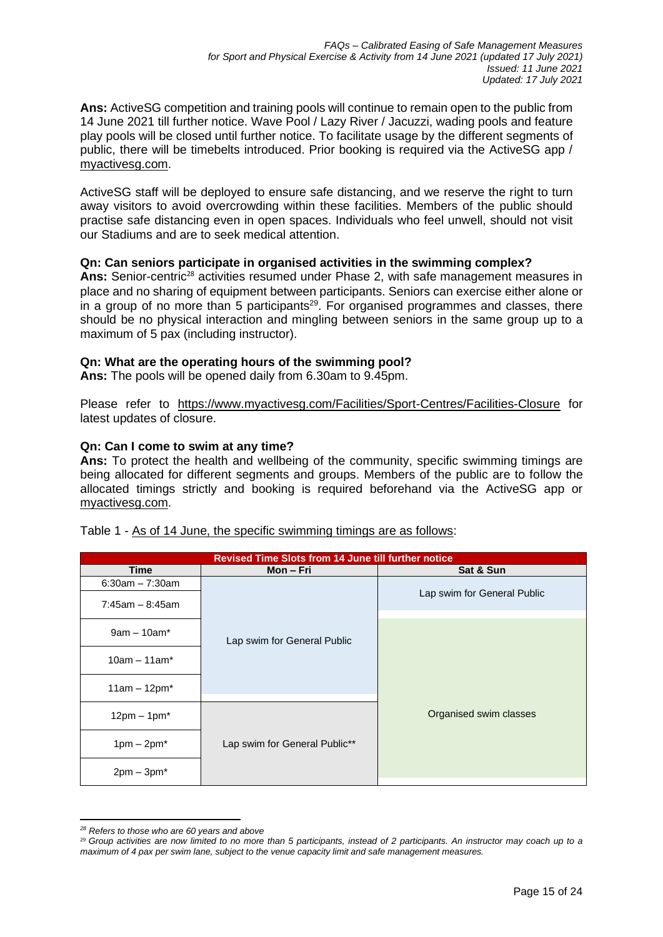**Ans:** ActiveSG competition and training pools will continue to remain open to the public from 14 June 2021 till further notice. Wave Pool / Lazy River / Jacuzzi, wading pools and feature play pools will be closed until further notice. To facilitate usage by the different segments of public, there will be timebelts introduced. Prior booking is required via the ActiveSG app / [myactivesg.com.](https://www.myactivesg.com/)

ActiveSG staff will be deployed to ensure safe distancing, and we reserve the right to turn away visitors to avoid overcrowding within these facilities. Members of the public should practise safe distancing even in open spaces. Individuals who feel unwell, should not visit our Stadiums and are to seek medical attention.

### **Qn: Can seniors participate in organised activities in the swimming complex?**

Ans: Senior-centric<sup>28</sup> activities resumed under Phase 2, with safe management measures in place and no sharing of equipment between participants. Seniors can exercise either alone or in a group of no more than 5 participants<sup>29</sup>. For organised programmes and classes, there should be no physical interaction and mingling between seniors in the same group up to a maximum of 5 pax (including instructor).

### **Qn: What are the operating hours of the swimming pool?**

**Ans:** The pools will be opened daily from 6.30am to 9.45pm.

Please refer to <https://www.myactivesg.com/Facilities/Sport-Centres/Facilities-Closure> for latest updates of closure.

### **Qn: Can I come to swim at any time?**

**Ans:** To protect the health and wellbeing of the community, specific swimming timings are being allocated for different segments and groups. Members of the public are to follow the allocated timings strictly and booking is required beforehand via the ActiveSG app or [myactivesg.com.](https://www.myactivesg.com/)

| Revised Time Slots from 14 June till further notice |                               |                             |
|-----------------------------------------------------|-------------------------------|-----------------------------|
| <b>Time</b>                                         | Mon – Fri                     | Sat & Sun                   |
| $6:30am - 7:30am$                                   |                               |                             |
| $7:45$ am – 8:45am                                  |                               | Lap swim for General Public |
| $9am - 10am^*$                                      | Lap swim for General Public   |                             |
| $10am - 11am^*$                                     |                               |                             |
| $11am - 12pm^*$                                     |                               |                             |
| $12pm - 1pm^*$                                      |                               | Organised swim classes      |
| $1pm - 2pm^*$                                       | Lap swim for General Public** |                             |
| $2pm - 3pm^*$                                       |                               |                             |

Table 1 - As of 14 June, the specific swimming timings are as follows:

*<sup>28</sup> Refers to those who are 60 years and above*

<sup>29</sup> *Group activities are now limited to no more than 5 participants, instead of 2 participants. An instructor may coach up to a maximum of 4 pax per swim lane, subject to the venue capacity limit and safe management measures.*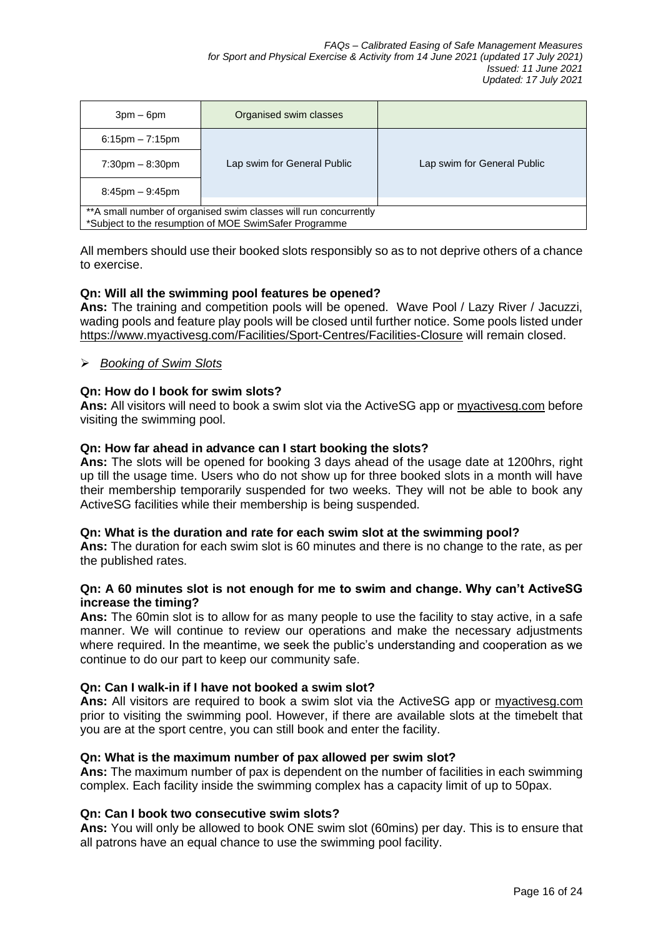| $3pm-6pm$                         | Organised swim classes                                                                                                     |                             |
|-----------------------------------|----------------------------------------------------------------------------------------------------------------------------|-----------------------------|
| $6:15$ pm $-7:15$ pm              |                                                                                                                            |                             |
| $7:30 \text{pm} - 8:30 \text{pm}$ | Lap swim for General Public                                                                                                | Lap swim for General Public |
| $8:45$ pm $-9:45$ pm              |                                                                                                                            |                             |
|                                   | ** A small number of organised swim classes will run concurrently<br>*Subject to the resumption of MOE SwimSafer Programme |                             |

All members should use their booked slots responsibly so as to not deprive others of a chance to exercise.

## **Qn: Will all the swimming pool features be opened?**

**Ans:** The training and competition pools will be opened. Wave Pool / Lazy River / Jacuzzi, wading pools and feature play pools will be closed until further notice. Some pools listed under <https://www.myactivesg.com/Facilities/Sport-Centres/Facilities-Closure> will remain closed.

### ➢ *Booking of Swim Slots*

### **Qn: How do I book for swim slots?**

**Ans:** All visitors will need to book a swim slot via the ActiveSG app or [myactivesg.com](https://www.myactivesg.com/) before visiting the swimming pool.

### **Qn: How far ahead in advance can I start booking the slots?**

**Ans:** The slots will be opened for booking 3 days ahead of the usage date at 1200hrs, right up till the usage time. Users who do not show up for three booked slots in a month will have their membership temporarily suspended for two weeks. They will not be able to book any ActiveSG facilities while their membership is being suspended.

### **Qn: What is the duration and rate for each swim slot at the swimming pool?**

**Ans:** The duration for each swim slot is 60 minutes and there is no change to the rate, as per the published rates.

### **Qn: A 60 minutes slot is not enough for me to swim and change. Why can't ActiveSG increase the timing?**

**Ans:** The 60min slot is to allow for as many people to use the facility to stay active, in a safe manner. We will continue to review our operations and make the necessary adjustments where required. In the meantime, we seek the public's understanding and cooperation as we continue to do our part to keep our community safe.

### **Qn: Can I walk-in if I have not booked a swim slot?**

**Ans:** All visitors are required to book a swim slot via the ActiveSG app or [myactivesg.com](https://www.myactivesg.com/) prior to visiting the swimming pool. However, if there are available slots at the timebelt that you are at the sport centre, you can still book and enter the facility.

### **Qn: What is the maximum number of pax allowed per swim slot?**

**Ans:** The maximum number of pax is dependent on the number of facilities in each swimming complex. Each facility inside the swimming complex has a capacity limit of up to 50pax.

### **Qn: Can I book two consecutive swim slots?**

**Ans:** You will only be allowed to book ONE swim slot (60mins) per day. This is to ensure that all patrons have an equal chance to use the swimming pool facility.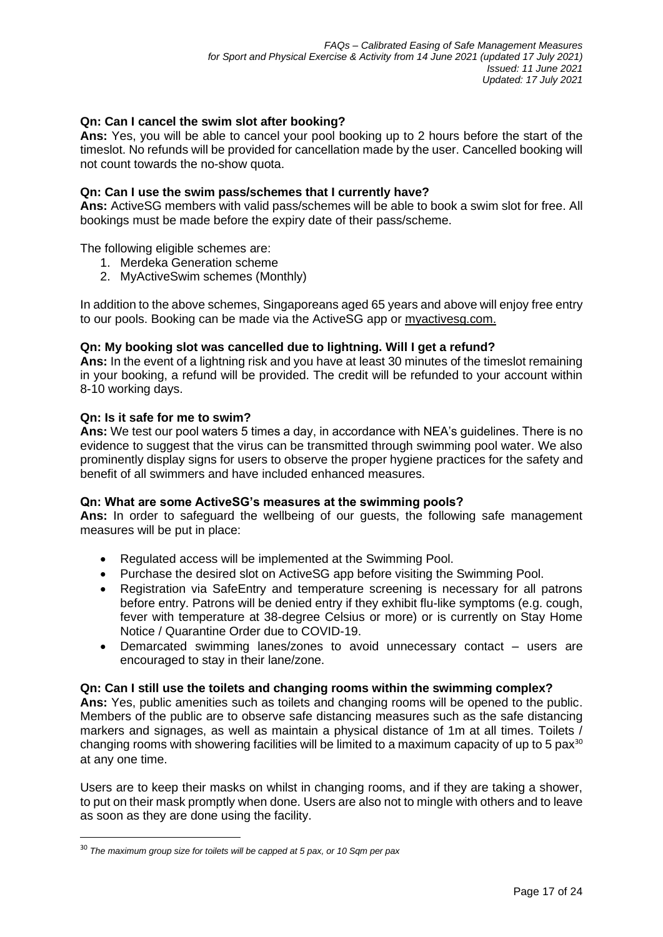## **Qn: Can I cancel the swim slot after booking?**

**Ans:** Yes, you will be able to cancel your pool booking up to 2 hours before the start of the timeslot. No refunds will be provided for cancellation made by the user. Cancelled booking will not count towards the no-show quota.

### **Qn: Can I use the swim pass/schemes that I currently have?**

**Ans:** ActiveSG members with valid pass/schemes will be able to book a swim slot for free. All bookings must be made before the expiry date of their pass/scheme.

The following eligible schemes are:

- 1. Merdeka Generation scheme
- 2. MyActiveSwim schemes (Monthly)

In addition to the above schemes, Singaporeans aged 65 years and above will enjoy free entry to our pools. Booking can be made via the ActiveSG app or [myactivesg.com.](https://www.myactivesg.com/)

### **Qn: My booking slot was cancelled due to lightning. Will I get a refund?**

**Ans:** In the event of a lightning risk and you have at least 30 minutes of the timeslot remaining in your booking, a refund will be provided. The credit will be refunded to your account within 8-10 working days.

### **Qn: Is it safe for me to swim?**

**Ans:** We test our pool waters 5 times a day, in accordance with NEA's guidelines. There is no evidence to suggest that the virus can be transmitted through swimming pool water. We also prominently display signs for users to observe the proper hygiene practices for the safety and benefit of all swimmers and have included enhanced measures.

### **Qn: What are some ActiveSG's measures at the swimming pools?**

**Ans:** In order to safeguard the wellbeing of our guests, the following safe management measures will be put in place:

- Regulated access will be implemented at the Swimming Pool.
- Purchase the desired slot on ActiveSG app before visiting the Swimming Pool.
- Registration via SafeEntry and temperature screening is necessary for all patrons before entry. Patrons will be denied entry if they exhibit flu-like symptoms (e.g. cough, fever with temperature at 38-degree Celsius or more) or is currently on Stay Home Notice / Quarantine Order due to COVID-19.
- Demarcated swimming lanes/zones to avoid unnecessary contact users are encouraged to stay in their lane/zone.

### **Qn: Can I still use the toilets and changing rooms within the swimming complex?**

**Ans:** Yes, public amenities such as toilets and changing rooms will be opened to the public. Members of the public are to observe safe distancing measures such as the safe distancing markers and signages, as well as maintain a physical distance of 1m at all times. Toilets / changing rooms with showering facilities will be limited to a maximum capacity of up to 5 pax<sup>30</sup> at any one time.

Users are to keep their masks on whilst in changing rooms, and if they are taking a shower, to put on their mask promptly when done. Users are also not to mingle with others and to leave as soon as they are done using the facility.

<sup>30</sup> *The maximum group size for toilets will be capped at 5 pax, or 10 Sqm per pax*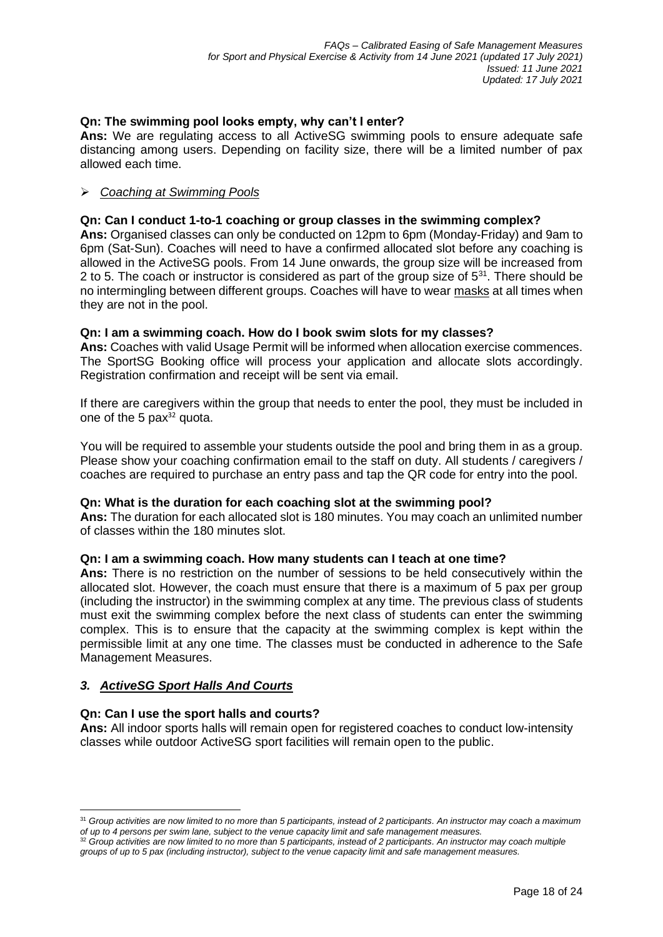## **Qn: The swimming pool looks empty, why can't I enter?**

**Ans:** We are regulating access to all ActiveSG swimming pools to ensure adequate safe distancing among users. Depending on facility size, there will be a limited number of pax allowed each time.

### ➢ *Coaching at Swimming Pools*

### **Qn: Can I conduct 1-to-1 coaching or group classes in the swimming complex?**

**Ans:** Organised classes can only be conducted on 12pm to 6pm (Monday-Friday) and 9am to 6pm (Sat-Sun). Coaches will need to have a confirmed allocated slot before any coaching is allowed in the ActiveSG pools. From 14 June onwards, the group size will be increased from 2 to 5. The coach or instructor is considered as part of the group size of  $5<sup>31</sup>$ . There should be no intermingling between different groups. Coaches will have to wear masks at all times when they are not in the pool.

### **Qn: I am a swimming coach. How do I book swim slots for my classes?**

**Ans:** Coaches with valid Usage Permit will be informed when allocation exercise commences. The SportSG Booking office will process your application and allocate slots accordingly. Registration confirmation and receipt will be sent via email.

If there are caregivers within the group that needs to enter the pool, they must be included in one of the 5  $pax^{32}$  quota.

You will be required to assemble your students outside the pool and bring them in as a group. Please show your coaching confirmation email to the staff on duty. All students / caregivers / coaches are required to purchase an entry pass and tap the QR code for entry into the pool.

### **Qn: What is the duration for each coaching slot at the swimming pool?**

**Ans:** The duration for each allocated slot is 180 minutes. You may coach an unlimited number of classes within the 180 minutes slot.

### **Qn: I am a swimming coach. How many students can I teach at one time?**

**Ans:** There is no restriction on the number of sessions to be held consecutively within the allocated slot. However, the coach must ensure that there is a maximum of 5 pax per group (including the instructor) in the swimming complex at any time. The previous class of students must exit the swimming complex before the next class of students can enter the swimming complex. This is to ensure that the capacity at the swimming complex is kept within the permissible limit at any one time. The classes must be conducted in adherence to the Safe Management Measures.

## *3. ActiveSG Sport Halls And Courts*

### **Qn: Can I use the sport halls and courts?**

**Ans:** All indoor sports halls will remain open for registered coaches to conduct low-intensity classes while outdoor ActiveSG sport facilities will remain open to the public.

<sup>&</sup>lt;sup>31</sup> Group activities are now limited to no more than 5 participants, instead of 2 participants. An instructor may coach a maximum *of up to 4 persons per swim lane, subject to the venue capacity limit and safe management measures.*

<sup>&</sup>lt;sup>32</sup> Group activities are now limited to no more than 5 participants, instead of 2 participants. An instructor may coach multiple *groups of up to 5 pax (including instructor), subject to the venue capacity limit and safe management measures.*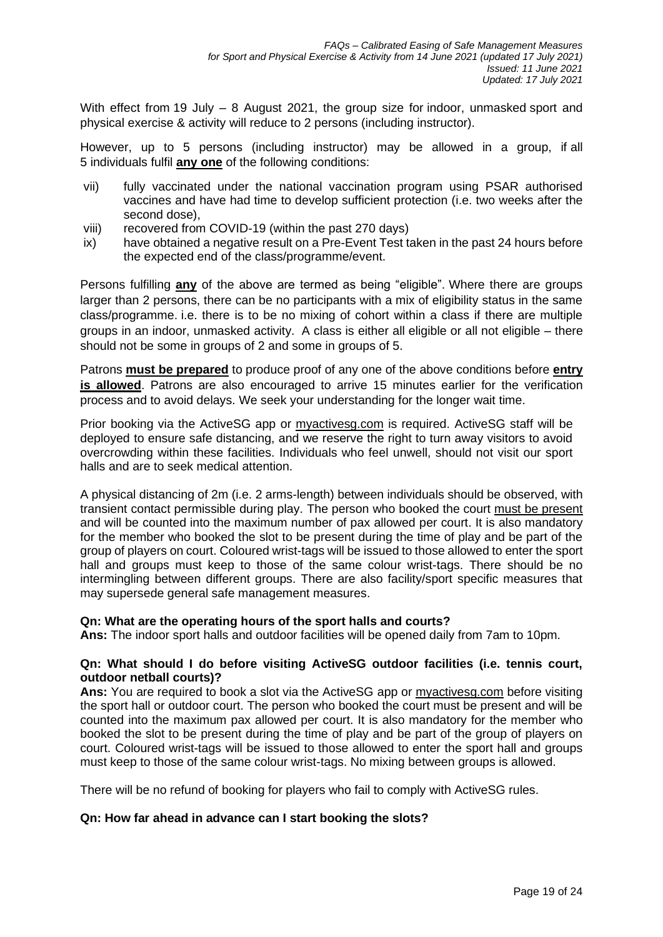With effect from 19 July – 8 August 2021, the group size for indoor, unmasked sport and physical exercise & activity will reduce to 2 persons (including instructor).

However, up to 5 persons (including instructor) may be allowed in a group, if all 5 individuals fulfil **any one** of the following conditions:

- vii) fully vaccinated under the national vaccination program using PSAR authorised vaccines and have had time to develop sufficient protection (i.e. two weeks after the second dose),
- viii) recovered from COVID-19 (within the past 270 days)
- ix) have obtained a negative result on a Pre-Event Test taken in the past 24 hours before the expected end of the class/programme/event.

Persons fulfilling **any** of the above are termed as being "eligible". Where there are groups larger than 2 persons, there can be no participants with a mix of eligibility status in the same class/programme. i.e. there is to be no mixing of cohort within a class if there are multiple groups in an indoor, unmasked activity. A class is either all eligible or all not eligible – there should not be some in groups of 2 and some in groups of 5.

Patrons **must be prepared** to produce proof of any one of the above conditions before **entry is allowed**. Patrons are also encouraged to arrive 15 minutes earlier for the verification process and to avoid delays. We seek your understanding for the longer wait time.

Prior booking via the ActiveSG app or [myactivesg.com](https://www.myactivesg.com/) is required. ActiveSG staff will be deployed to ensure safe distancing, and we reserve the right to turn away visitors to avoid overcrowding within these facilities. Individuals who feel unwell, should not visit our sport halls and are to seek medical attention.

A physical distancing of 2m (i.e. 2 arms-length) between individuals should be observed, with transient contact permissible during play. The person who booked the court must be present and will be counted into the maximum number of pax allowed per court. It is also mandatory for the member who booked the slot to be present during the time of play and be part of the group of players on court. Coloured wrist-tags will be issued to those allowed to enter the sport hall and groups must keep to those of the same colour wrist-tags. There should be no intermingling between different groups. There are also facility/sport specific measures that may supersede general safe management measures.

### **Qn: What are the operating hours of the sport halls and courts?**

**Ans:** The indoor sport halls and outdoor facilities will be opened daily from 7am to 10pm.

### **Qn: What should I do before visiting ActiveSG outdoor facilities (i.e. tennis court, outdoor netball courts)?**

**Ans:** You are required to book a slot via the ActiveSG app or [myactivesg.com](https://www.myactivesg.com/) before visiting the sport hall or outdoor court. The person who booked the court must be present and will be counted into the maximum pax allowed per court. It is also mandatory for the member who booked the slot to be present during the time of play and be part of the group of players on court. Coloured wrist-tags will be issued to those allowed to enter the sport hall and groups must keep to those of the same colour wrist-tags. No mixing between groups is allowed.

There will be no refund of booking for players who fail to comply with ActiveSG rules.

### **Qn: How far ahead in advance can I start booking the slots?**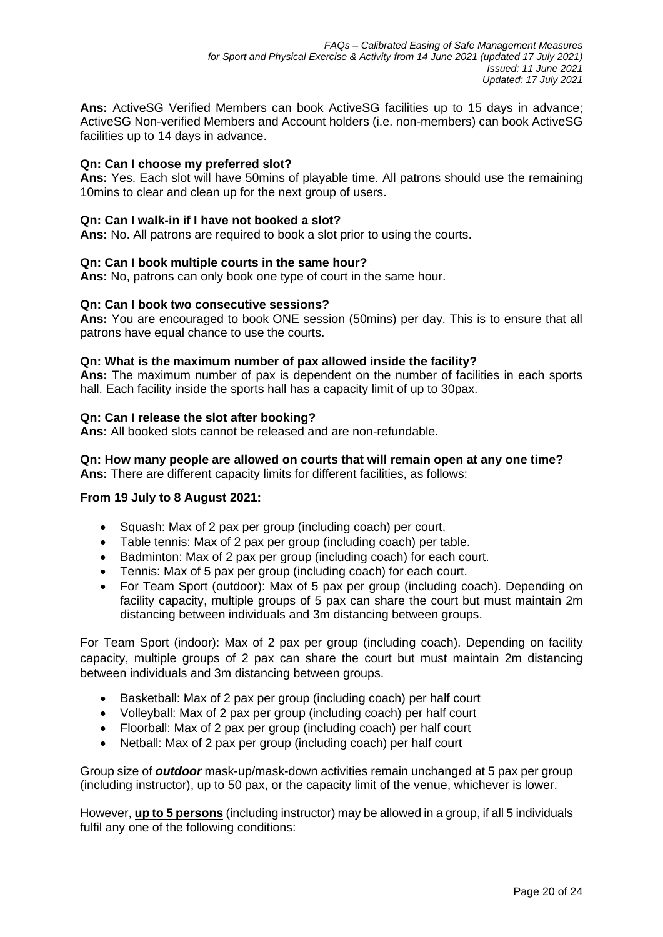**Ans:** ActiveSG Verified Members can book ActiveSG facilities up to 15 days in advance; ActiveSG Non-verified Members and Account holders (i.e. non-members) can book ActiveSG facilities up to 14 days in advance.

### **Qn: Can I choose my preferred slot?**

**Ans:** Yes. Each slot will have 50mins of playable time. All patrons should use the remaining 10mins to clear and clean up for the next group of users.

### **Qn: Can I walk-in if I have not booked a slot?**

**Ans:** No. All patrons are required to book a slot prior to using the courts.

### **Qn: Can I book multiple courts in the same hour?**

**Ans:** No, patrons can only book one type of court in the same hour.

### **Qn: Can I book two consecutive sessions?**

**Ans:** You are encouraged to book ONE session (50mins) per day. This is to ensure that all patrons have equal chance to use the courts.

### **Qn: What is the maximum number of pax allowed inside the facility?**

**Ans:** The maximum number of pax is dependent on the number of facilities in each sports hall. Each facility inside the sports hall has a capacity limit of up to 30pax.

### **Qn: Can I release the slot after booking?**

**Ans:** All booked slots cannot be released and are non-refundable.

## **Qn: How many people are allowed on courts that will remain open at any one time?**

**Ans:** There are different capacity limits for different facilities, as follows:

### **From 19 July to 8 August 2021:**

- Squash: Max of 2 pax per group (including coach) per court.
- Table tennis: Max of 2 pax per group (including coach) per table.
- Badminton: Max of 2 pax per group (including coach) for each court.
- Tennis: Max of 5 pax per group (including coach) for each court.
- For Team Sport (outdoor): Max of 5 pax per group (including coach). Depending on facility capacity, multiple groups of 5 pax can share the court but must maintain 2m distancing between individuals and 3m distancing between groups.

For Team Sport (indoor): Max of 2 pax per group (including coach). Depending on facility capacity, multiple groups of 2 pax can share the court but must maintain 2m distancing between individuals and 3m distancing between groups.

- Basketball: Max of 2 pax per group (including coach) per half court
- Volleyball: Max of 2 pax per group (including coach) per half court
- Floorball: Max of 2 pax per group (including coach) per half court
- Netball: Max of 2 pax per group (including coach) per half court

Group size of *outdoor* mask-up/mask-down activities remain unchanged at 5 pax per group (including instructor), up to 50 pax, or the capacity limit of the venue, whichever is lower.

However, **up to 5 persons** (including instructor) may be allowed in a group, if all 5 individuals fulfil any one of the following conditions: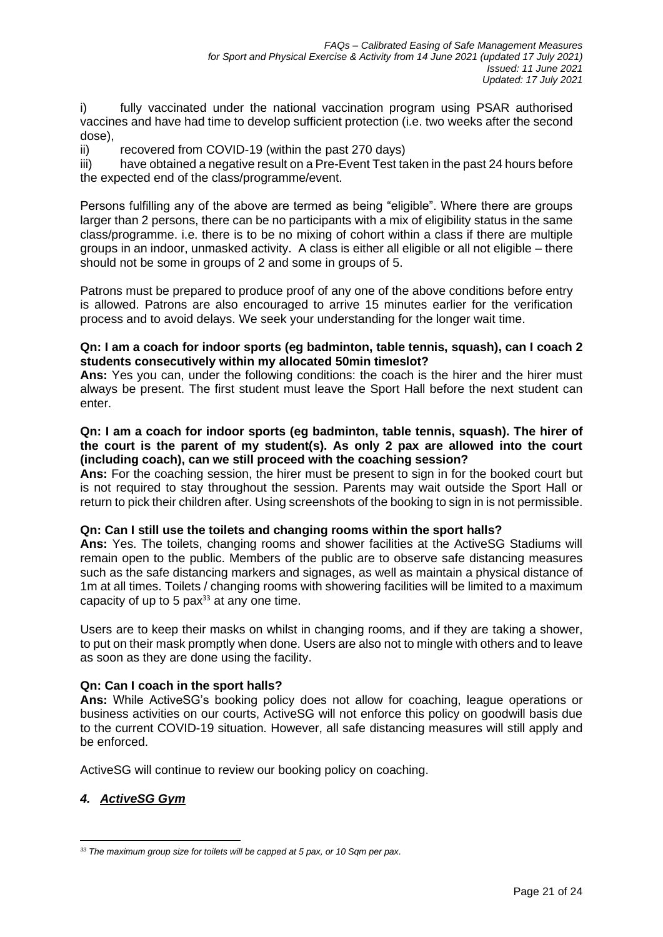i) fully vaccinated under the national vaccination program using PSAR authorised vaccines and have had time to develop sufficient protection (i.e. two weeks after the second dose),

ii) recovered from COVID-19 (within the past 270 days)

iii) have obtained a negative result on a Pre-Event Test taken in the past 24 hours before the expected end of the class/programme/event.

Persons fulfilling any of the above are termed as being "eligible". Where there are groups larger than 2 persons, there can be no participants with a mix of eligibility status in the same class/programme. i.e. there is to be no mixing of cohort within a class if there are multiple groups in an indoor, unmasked activity. A class is either all eligible or all not eligible – there should not be some in groups of 2 and some in groups of 5.

Patrons must be prepared to produce proof of any one of the above conditions before entry is allowed. Patrons are also encouraged to arrive 15 minutes earlier for the verification process and to avoid delays. We seek your understanding for the longer wait time.

### **Qn: I am a coach for indoor sports (eg badminton, table tennis, squash), can I coach 2 students consecutively within my allocated 50min timeslot?**

**Ans:** Yes you can, under the following conditions: the coach is the hirer and the hirer must always be present. The first student must leave the Sport Hall before the next student can enter.

### **Qn: I am a coach for indoor sports (eg badminton, table tennis, squash). The hirer of the court is the parent of my student(s). As only 2 pax are allowed into the court (including coach), can we still proceed with the coaching session?**

**Ans:** For the coaching session, the hirer must be present to sign in for the booked court but is not required to stay throughout the session. Parents may wait outside the Sport Hall or return to pick their children after. Using screenshots of the booking to sign in is not permissible.

## **Qn: Can I still use the toilets and changing rooms within the sport halls?**

**Ans:** Yes. The toilets, changing rooms and shower facilities at the ActiveSG Stadiums will remain open to the public. Members of the public are to observe safe distancing measures such as the safe distancing markers and signages, as well as maintain a physical distance of 1m at all times. Toilets / changing rooms with showering facilities will be limited to a maximum capacity of up to 5 pax $33$  at any one time.

Users are to keep their masks on whilst in changing rooms, and if they are taking a shower, to put on their mask promptly when done. Users are also not to mingle with others and to leave as soon as they are done using the facility.

## **Qn: Can I coach in the sport halls?**

**Ans:** While ActiveSG's booking policy does not allow for coaching, league operations or business activities on our courts, ActiveSG will not enforce this policy on goodwill basis due to the current COVID-19 situation. However, all safe distancing measures will still apply and be enforced.

ActiveSG will continue to review our booking policy on coaching.

# *4. ActiveSG Gym*

*<sup>33</sup> The maximum group size for toilets will be capped at 5 pax, or 10 Sqm per pax.*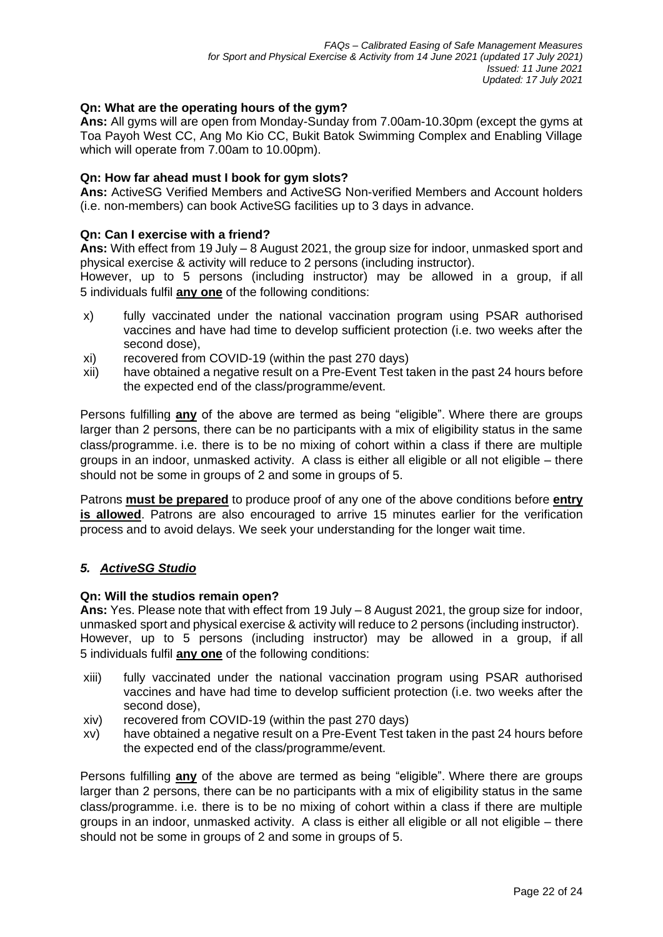## **Qn: What are the operating hours of the gym?**

**Ans:** All gyms will are open from Monday-Sunday from 7.00am-10.30pm (except the gyms at Toa Payoh West CC, Ang Mo Kio CC, Bukit Batok Swimming Complex and Enabling Village which will operate from 7.00am to 10.00pm).

## **Qn: How far ahead must I book for gym slots?**

**Ans:** ActiveSG Verified Members and ActiveSG Non-verified Members and Account holders (i.e. non-members) can book ActiveSG facilities up to 3 days in advance.

## **Qn: Can I exercise with a friend?**

**Ans:** With effect from 19 July – 8 August 2021, the group size for indoor, unmasked sport and physical exercise & activity will reduce to 2 persons (including instructor).

However, up to 5 persons (including instructor) may be allowed in a group, if all 5 individuals fulfil **any one** of the following conditions:

- x) fully vaccinated under the national vaccination program using PSAR authorised vaccines and have had time to develop sufficient protection (i.e. two weeks after the second dose),
- xi) recovered from COVID-19 (within the past 270 days)
- xii) have obtained a negative result on a Pre-Event Test taken in the past 24 hours before the expected end of the class/programme/event.

Persons fulfilling **any** of the above are termed as being "eligible". Where there are groups larger than 2 persons, there can be no participants with a mix of eligibility status in the same class/programme. i.e. there is to be no mixing of cohort within a class if there are multiple groups in an indoor, unmasked activity. A class is either all eligible or all not eligible – there should not be some in groups of 2 and some in groups of 5.

Patrons **must be prepared** to produce proof of any one of the above conditions before **entry is allowed**. Patrons are also encouraged to arrive 15 minutes earlier for the verification process and to avoid delays. We seek your understanding for the longer wait time.

## *5. ActiveSG Studio*

### **Qn: Will the studios remain open?**

**Ans:** Yes. Please note that with effect from 19 July – 8 August 2021, the group size for indoor, unmasked sport and physical exercise & activity will reduce to 2 persons (including instructor). However, up to 5 persons (including instructor) may be allowed in a group, if all 5 individuals fulfil **any one** of the following conditions:

- xiii) fully vaccinated under the national vaccination program using PSAR authorised vaccines and have had time to develop sufficient protection (i.e. two weeks after the second dose),
- xiv) recovered from COVID-19 (within the past 270 days)
- xv) have obtained a negative result on a Pre-Event Test taken in the past 24 hours before the expected end of the class/programme/event.

Persons fulfilling **any** of the above are termed as being "eligible". Where there are groups larger than 2 persons, there can be no participants with a mix of eligibility status in the same class/programme. i.e. there is to be no mixing of cohort within a class if there are multiple groups in an indoor, unmasked activity. A class is either all eligible or all not eligible – there should not be some in groups of 2 and some in groups of 5.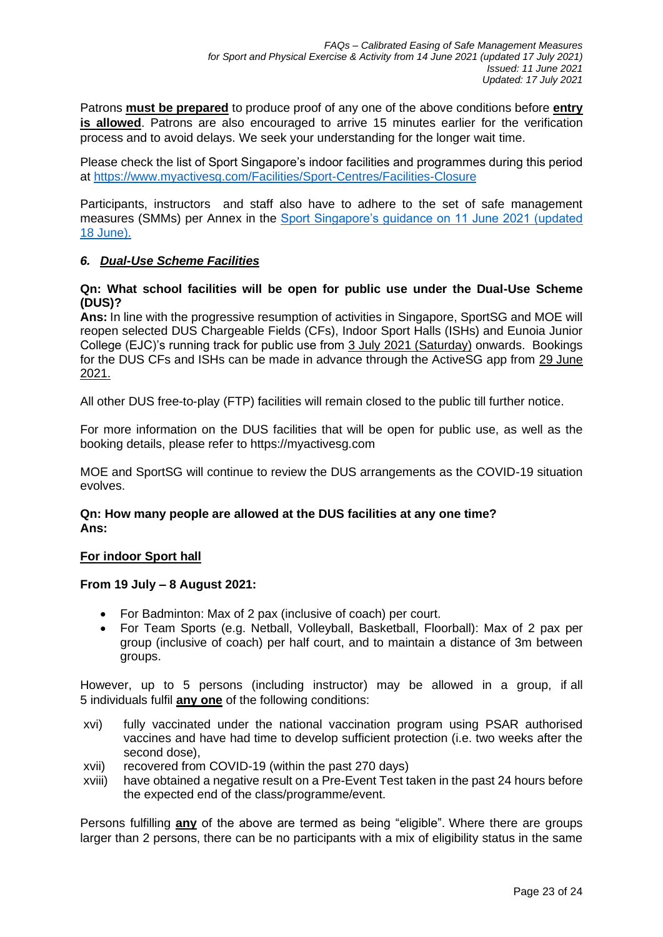Patrons **must be prepared** to produce proof of any one of the above conditions before **entry is allowed**. Patrons are also encouraged to arrive 15 minutes earlier for the verification process and to avoid delays. We seek your understanding for the longer wait time.

Please check the list of Sport Singapore's indoor facilities and programmes during this period at<https://www.myactivesg.com/Facilities/Sport-Centres/Facilities-Closure>

Participants, instructors and staff also have to adhere to the set of safe management measures (SMMs) per Annex in the [Sport Singapore's guidance on 11 June 2021 \(updated](https://www.sportsingapore.gov.sg/Newsroom/Media-Releases)  [18 June\).](https://www.sportsingapore.gov.sg/Newsroom/Media-Releases)

## *6. Dual-Use Scheme Facilities*

### **Qn: What school facilities will be open for public use under the Dual-Use Scheme (DUS)?**

**Ans:** In line with the progressive resumption of activities in Singapore, SportSG and MOE will reopen selected DUS Chargeable Fields (CFs), Indoor Sport Halls (ISHs) and Eunoia Junior College (EJC)'s running track for public use from 3 July 2021 (Saturday) onwards. Bookings for the DUS CFs and ISHs can be made in advance through the ActiveSG app from 29 June 2021.

All other DUS free-to-play (FTP) facilities will remain closed to the public till further notice.

For more information on the DUS facilities that will be open for public use, as well as the booking details, please refer to https://myactivesg.com

MOE and SportSG will continue to review the DUS arrangements as the COVID-19 situation evolves.

### **Qn: How many people are allowed at the DUS facilities at any one time? Ans:**

## **For indoor Sport hall**

## **From 19 July – 8 August 2021:**

- For Badminton: Max of 2 pax (inclusive of coach) per court.
- For Team Sports (e.g. Netball, Volleyball, Basketball, Floorball): Max of 2 pax per group (inclusive of coach) per half court, and to maintain a distance of 3m between groups.

However, up to 5 persons (including instructor) may be allowed in a group, if all 5 individuals fulfil **any one** of the following conditions:

- xvi) fully vaccinated under the national vaccination program using PSAR authorised vaccines and have had time to develop sufficient protection (i.e. two weeks after the second dose),
- xvii) recovered from COVID-19 (within the past 270 days)
- xviii) have obtained a negative result on a Pre-Event Test taken in the past 24 hours before the expected end of the class/programme/event.

Persons fulfilling **any** of the above are termed as being "eligible". Where there are groups larger than 2 persons, there can be no participants with a mix of eligibility status in the same